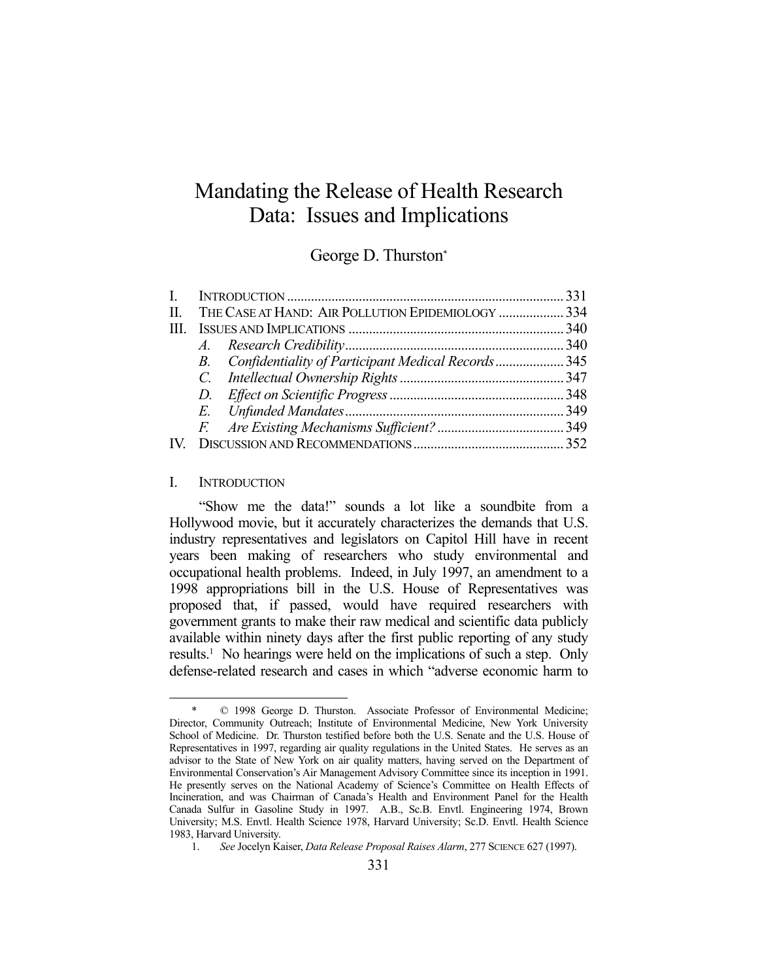# Mandating the Release of Health Research Data: Issues and Implications

# George D. Thurston\*

|  | II. THE CASE AT HAND: AIR POLLUTION EPIDEMIOLOGY  334 |  |
|--|-------------------------------------------------------|--|
|  |                                                       |  |
|  |                                                       |  |
|  | B. Confidentiality of Participant Medical Records345  |  |
|  |                                                       |  |
|  |                                                       |  |
|  |                                                       |  |
|  |                                                       |  |
|  |                                                       |  |
|  |                                                       |  |

# I. INTRODUCTION

<u>.</u>

 "Show me the data!" sounds a lot like a soundbite from a Hollywood movie, but it accurately characterizes the demands that U.S. industry representatives and legislators on Capitol Hill have in recent years been making of researchers who study environmental and occupational health problems. Indeed, in July 1997, an amendment to a 1998 appropriations bill in the U.S. House of Representatives was proposed that, if passed, would have required researchers with government grants to make their raw medical and scientific data publicly available within ninety days after the first public reporting of any study results.<sup>1</sup> No hearings were held on the implications of such a step. Only defense-related research and cases in which "adverse economic harm to

 $© 1998 George D. Thurston. Associated Professor of Environmental Medicine;$ Director, Community Outreach; Institute of Environmental Medicine, New York University School of Medicine. Dr. Thurston testified before both the U.S. Senate and the U.S. House of Representatives in 1997, regarding air quality regulations in the United States. He serves as an advisor to the State of New York on air quality matters, having served on the Department of Environmental Conservation's Air Management Advisory Committee since its inception in 1991. He presently serves on the National Academy of Science's Committee on Health Effects of Incineration, and was Chairman of Canada's Health and Environment Panel for the Health Canada Sulfur in Gasoline Study in 1997. A.B., Sc.B. Envtl. Engineering 1974, Brown University; M.S. Envtl. Health Science 1978, Harvard University; Sc.D. Envtl. Health Science 1983, Harvard University.

 <sup>1.</sup> *See* Jocelyn Kaiser, *Data Release Proposal Raises Alarm*, 277 SCIENCE 627 (1997).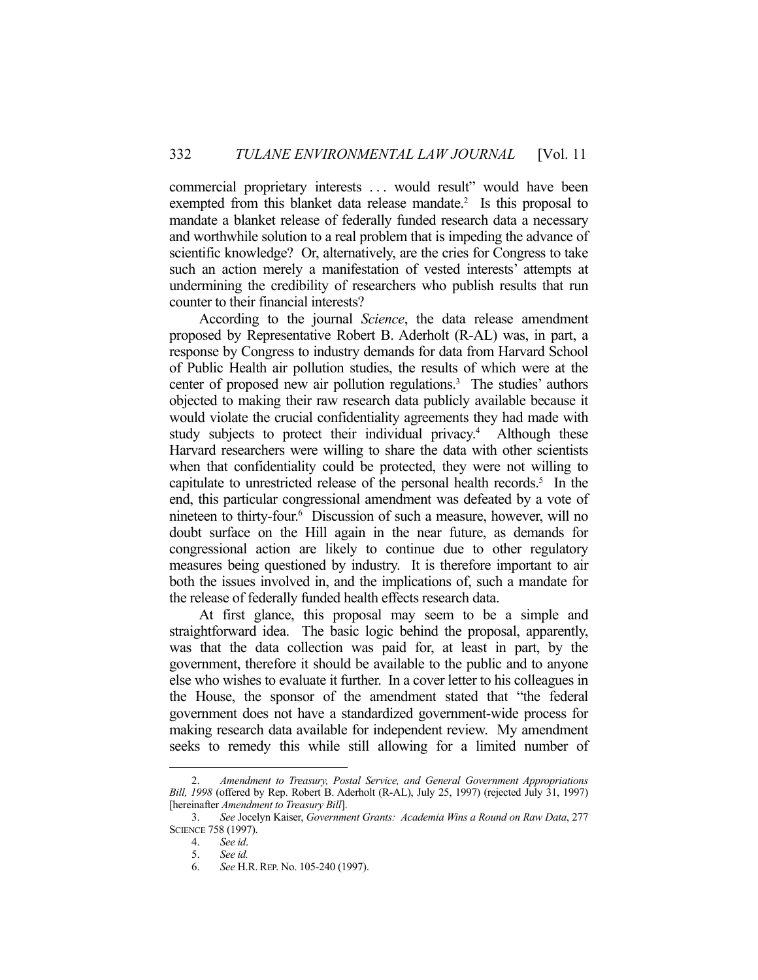commercial proprietary interests . . . would result" would have been exempted from this blanket data release mandate.<sup>2</sup> Is this proposal to mandate a blanket release of federally funded research data a necessary and worthwhile solution to a real problem that is impeding the advance of scientific knowledge? Or, alternatively, are the cries for Congress to take such an action merely a manifestation of vested interests' attempts at undermining the credibility of researchers who publish results that run counter to their financial interests?

 According to the journal *Science*, the data release amendment proposed by Representative Robert B. Aderholt (R-AL) was, in part, a response by Congress to industry demands for data from Harvard School of Public Health air pollution studies, the results of which were at the center of proposed new air pollution regulations.<sup>3</sup> The studies' authors objected to making their raw research data publicly available because it would violate the crucial confidentiality agreements they had made with study subjects to protect their individual privacy.<sup>4</sup> Although these Harvard researchers were willing to share the data with other scientists when that confidentiality could be protected, they were not willing to capitulate to unrestricted release of the personal health records.<sup>5</sup> In the end, this particular congressional amendment was defeated by a vote of nineteen to thirty-four.6 Discussion of such a measure, however, will no doubt surface on the Hill again in the near future, as demands for congressional action are likely to continue due to other regulatory measures being questioned by industry. It is therefore important to air both the issues involved in, and the implications of, such a mandate for the release of federally funded health effects research data.

 At first glance, this proposal may seem to be a simple and straightforward idea. The basic logic behind the proposal, apparently, was that the data collection was paid for, at least in part, by the government, therefore it should be available to the public and to anyone else who wishes to evaluate it further. In a cover letter to his colleagues in the House, the sponsor of the amendment stated that "the federal government does not have a standardized government-wide process for making research data available for independent review. My amendment seeks to remedy this while still allowing for a limited number of

 <sup>2.</sup> *Amendment to Treasury, Postal Service, and General Government Appropriations Bill, 1998* (offered by Rep. Robert B. Aderholt (R-AL), July 25, 1997) (rejected July 31, 1997) [hereinafter *Amendment to Treasury Bill*].

 <sup>3.</sup> *See* Jocelyn Kaiser, *Government Grants: Academia Wins a Round on Raw Data*, 277 SCIENCE 758 (1997).

 <sup>4.</sup> *See id*.

 <sup>5.</sup> *See id.*

 <sup>6.</sup> *See* H.R.REP. No. 105-240 (1997).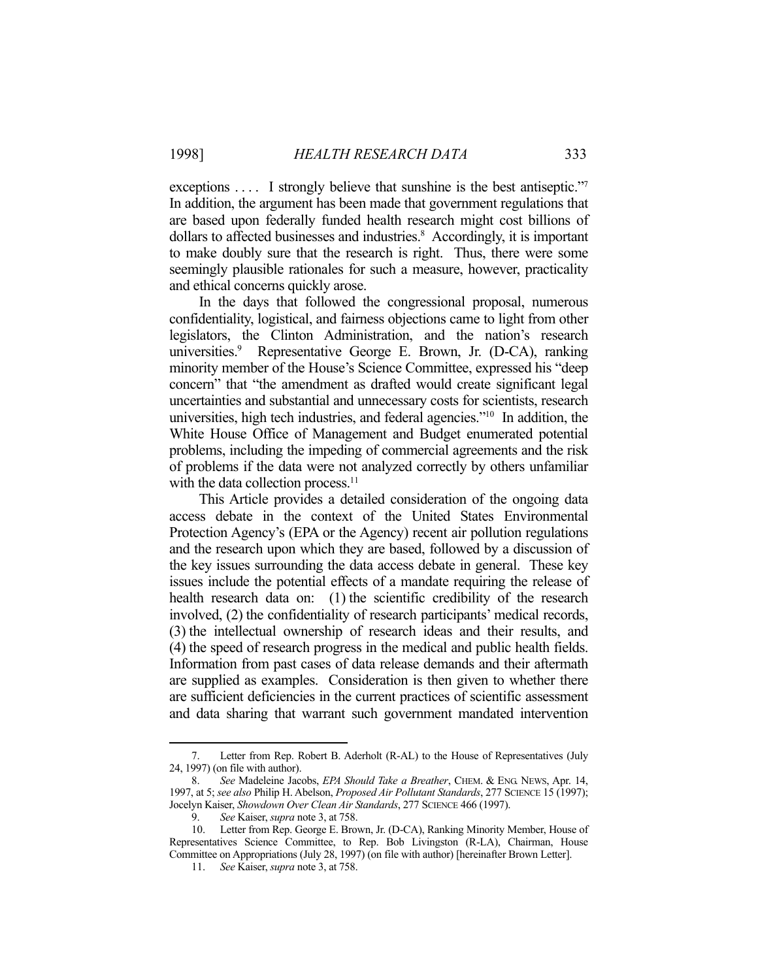exceptions .... I strongly believe that sunshine is the best antiseptic."<sup>7</sup> In addition, the argument has been made that government regulations that are based upon federally funded health research might cost billions of dollars to affected businesses and industries.<sup>8</sup> Accordingly, it is important to make doubly sure that the research is right. Thus, there were some seemingly plausible rationales for such a measure, however, practicality and ethical concerns quickly arose.

 In the days that followed the congressional proposal, numerous confidentiality, logistical, and fairness objections came to light from other legislators, the Clinton Administration, and the nation's research universities.<sup>9</sup> Representative George E. Brown, Jr. (D-CA), ranking minority member of the House's Science Committee, expressed his "deep concern" that "the amendment as drafted would create significant legal uncertainties and substantial and unnecessary costs for scientists, research universities, high tech industries, and federal agencies."10 In addition, the White House Office of Management and Budget enumerated potential problems, including the impeding of commercial agreements and the risk of problems if the data were not analyzed correctly by others unfamiliar with the data collection process.<sup>11</sup>

 This Article provides a detailed consideration of the ongoing data access debate in the context of the United States Environmental Protection Agency's (EPA or the Agency) recent air pollution regulations and the research upon which they are based, followed by a discussion of the key issues surrounding the data access debate in general. These key issues include the potential effects of a mandate requiring the release of health research data on: (1) the scientific credibility of the research involved, (2) the confidentiality of research participants' medical records, (3) the intellectual ownership of research ideas and their results, and (4) the speed of research progress in the medical and public health fields. Information from past cases of data release demands and their aftermath are supplied as examples. Consideration is then given to whether there are sufficient deficiencies in the current practices of scientific assessment and data sharing that warrant such government mandated intervention

 <sup>7.</sup> Letter from Rep. Robert B. Aderholt (R-AL) to the House of Representatives (July 24, 1997) (on file with author).

 <sup>8.</sup> *See* Madeleine Jacobs, *EPA Should Take a Breather*, CHEM. & ENG. NEWS, Apr. 14, 1997, at 5; *see also* Philip H. Abelson, *Proposed Air Pollutant Standards*, 277 SCIENCE 15 (1997); Jocelyn Kaiser, *Showdown Over Clean Air Standards*, 277 SCIENCE 466 (1997).

 <sup>9.</sup> *See* Kaiser, *supra* note 3, at 758.

 <sup>10.</sup> Letter from Rep. George E. Brown, Jr. (D-CA), Ranking Minority Member, House of Representatives Science Committee, to Rep. Bob Livingston (R-LA), Chairman, House Committee on Appropriations (July 28, 1997) (on file with author) [hereinafter Brown Letter].

 <sup>11.</sup> *See* Kaiser, *supra* note 3, at 758.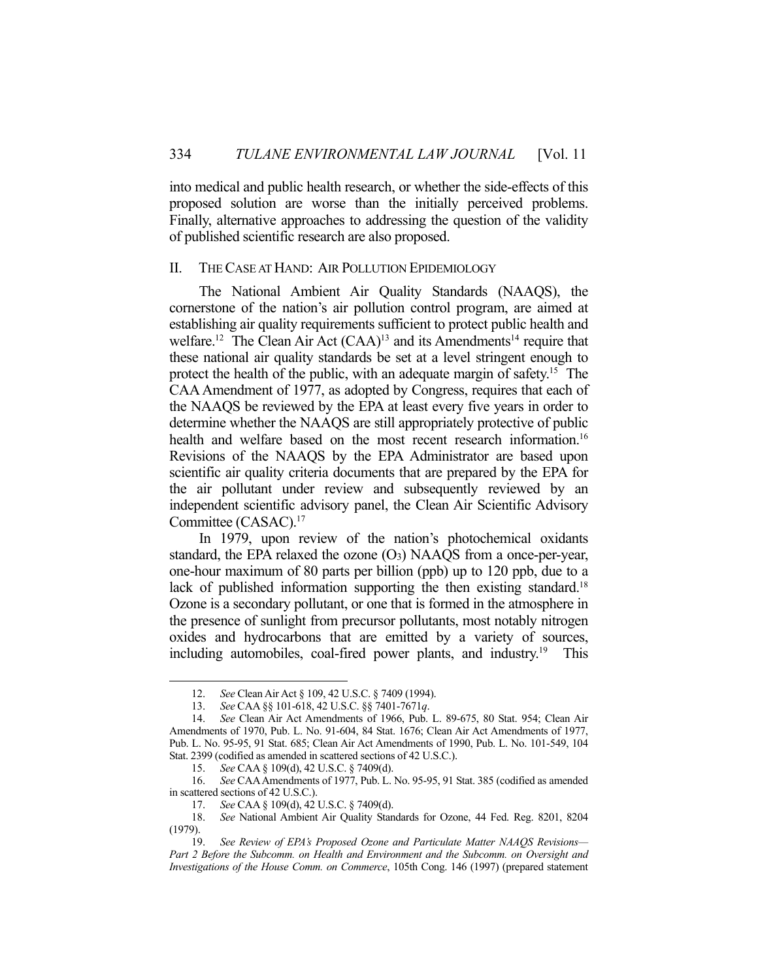into medical and public health research, or whether the side-effects of this proposed solution are worse than the initially perceived problems. Finally, alternative approaches to addressing the question of the validity of published scientific research are also proposed.

# II. THE CASE AT HAND: AIR POLLUTION EPIDEMIOLOGY

 The National Ambient Air Quality Standards (NAAQS), the cornerstone of the nation's air pollution control program, are aimed at establishing air quality requirements sufficient to protect public health and welfare.<sup>12</sup> The Clean Air Act  $(CAA)^{13}$  and its Amendments<sup>14</sup> require that these national air quality standards be set at a level stringent enough to protect the health of the public, with an adequate margin of safety.<sup>15</sup> The CAA Amendment of 1977, as adopted by Congress, requires that each of the NAAQS be reviewed by the EPA at least every five years in order to determine whether the NAAQS are still appropriately protective of public health and welfare based on the most recent research information.<sup>16</sup> Revisions of the NAAQS by the EPA Administrator are based upon scientific air quality criteria documents that are prepared by the EPA for the air pollutant under review and subsequently reviewed by an independent scientific advisory panel, the Clean Air Scientific Advisory Committee (CASAC).17

 In 1979, upon review of the nation's photochemical oxidants standard, the EPA relaxed the ozone  $(O_3)$  NAAQS from a once-per-year, one-hour maximum of 80 parts per billion (ppb) up to 120 ppb, due to a lack of published information supporting the then existing standard.<sup>18</sup> Ozone is a secondary pollutant, or one that is formed in the atmosphere in the presence of sunlight from precursor pollutants, most notably nitrogen oxides and hydrocarbons that are emitted by a variety of sources, including automobiles, coal-fired power plants, and industry.19 This

 <sup>12.</sup> *See* Clean Air Act § 109, 42 U.S.C. § 7409 (1994).

 <sup>13.</sup> *See* CAA §§ 101-618, 42 U.S.C. §§ 7401-7671*q*.

 <sup>14.</sup> *See* Clean Air Act Amendments of 1966, Pub. L. 89-675, 80 Stat. 954; Clean Air Amendments of 1970, Pub. L. No. 91-604, 84 Stat. 1676; Clean Air Act Amendments of 1977, Pub. L. No. 95-95, 91 Stat. 685; Clean Air Act Amendments of 1990, Pub. L. No. 101-549, 104 Stat. 2399 (codified as amended in scattered sections of 42 U.S.C.).

 <sup>15.</sup> *See* CAA § 109(d), 42 U.S.C. § 7409(d).

 <sup>16.</sup> *See* CAA Amendments of 1977, Pub. L. No. 95-95, 91 Stat. 385 (codified as amended in scattered sections of 42 U.S.C.).

 <sup>17.</sup> *See* CAA § 109(d), 42 U.S.C. § 7409(d).

 <sup>18.</sup> *See* National Ambient Air Quality Standards for Ozone, 44 Fed. Reg. 8201, 8204 (1979).

 <sup>19.</sup> *See Review of EPA's Proposed Ozone and Particulate Matter NAAQS Revisions— Part 2 Before the Subcomm. on Health and Environment and the Subcomm. on Oversight and Investigations of the House Comm. on Commerce*, 105th Cong. 146 (1997) (prepared statement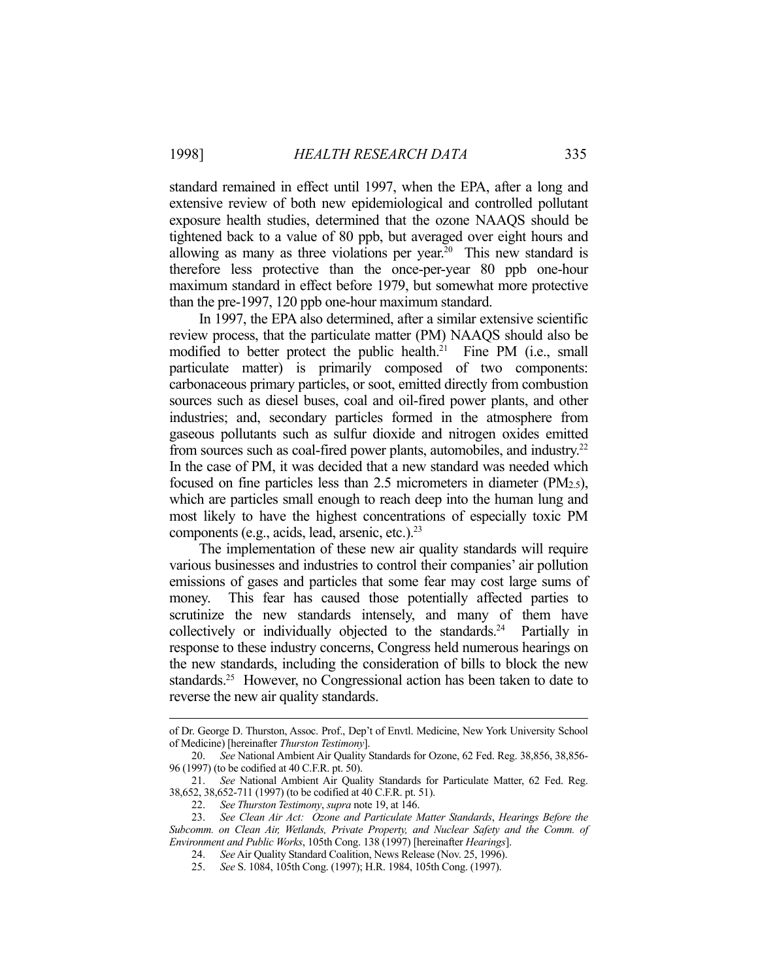standard remained in effect until 1997, when the EPA, after a long and extensive review of both new epidemiological and controlled pollutant exposure health studies, determined that the ozone NAAQS should be tightened back to a value of 80 ppb, but averaged over eight hours and allowing as many as three violations per year.<sup>20</sup> This new standard is therefore less protective than the once-per-year 80 ppb one-hour maximum standard in effect before 1979, but somewhat more protective than the pre-1997, 120 ppb one-hour maximum standard.

 In 1997, the EPA also determined, after a similar extensive scientific review process, that the particulate matter (PM) NAAQS should also be modified to better protect the public health.21 Fine PM (i.e., small particulate matter) is primarily composed of two components: carbonaceous primary particles, or soot, emitted directly from combustion sources such as diesel buses, coal and oil-fired power plants, and other industries; and, secondary particles formed in the atmosphere from gaseous pollutants such as sulfur dioxide and nitrogen oxides emitted from sources such as coal-fired power plants, automobiles, and industry.22 In the case of PM, it was decided that a new standard was needed which focused on fine particles less than  $2.5$  micrometers in diameter (PM $_{2.5}$ ), which are particles small enough to reach deep into the human lung and most likely to have the highest concentrations of especially toxic PM components (e.g., acids, lead, arsenic, etc.).23

 The implementation of these new air quality standards will require various businesses and industries to control their companies' air pollution emissions of gases and particles that some fear may cost large sums of money. This fear has caused those potentially affected parties to scrutinize the new standards intensely, and many of them have collectively or individually objected to the standards.<sup>24</sup> Partially in response to these industry concerns, Congress held numerous hearings on the new standards, including the consideration of bills to block the new standards.<sup>25</sup> However, no Congressional action has been taken to date to reverse the new air quality standards.

of Dr. George D. Thurston, Assoc. Prof., Dep't of Envtl. Medicine, New York University School of Medicine) [hereinafter *Thurston Testimony*].

 <sup>20.</sup> *See* National Ambient Air Quality Standards for Ozone, 62 Fed. Reg. 38,856, 38,856- 96 (1997) (to be codified at 40 C.F.R. pt. 50).

 <sup>21.</sup> *See* National Ambient Air Quality Standards for Particulate Matter, 62 Fed. Reg. 38,652, 38,652-711 (1997) (to be codified at 40 C.F.R. pt. 51).

 <sup>22.</sup> *See Thurston Testimony*, *supra* note 19, at 146.

 <sup>23.</sup> *See Clean Air Act: Ozone and Particulate Matter Standards*, *Hearings Before the Subcomm. on Clean Air, Wetlands, Private Property, and Nuclear Safety and the Comm. of Environment and Public Works*, 105th Cong. 138 (1997) [hereinafter *Hearings*].

 <sup>24.</sup> *See* Air Quality Standard Coalition, News Release (Nov. 25, 1996).

 <sup>25.</sup> *See* S. 1084, 105th Cong. (1997); H.R. 1984, 105th Cong. (1997).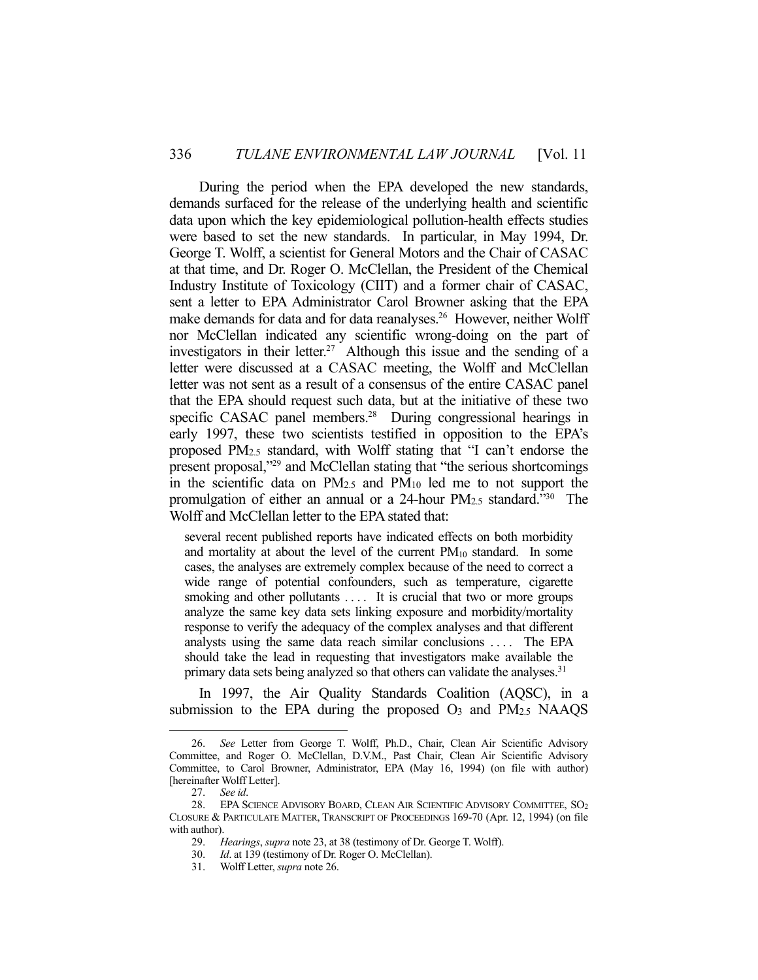During the period when the EPA developed the new standards, demands surfaced for the release of the underlying health and scientific data upon which the key epidemiological pollution-health effects studies were based to set the new standards. In particular, in May 1994, Dr. George T. Wolff, a scientist for General Motors and the Chair of CASAC at that time, and Dr. Roger O. McClellan, the President of the Chemical Industry Institute of Toxicology (CIIT) and a former chair of CASAC, sent a letter to EPA Administrator Carol Browner asking that the EPA make demands for data and for data reanalyses.<sup>26</sup> However, neither Wolff nor McClellan indicated any scientific wrong-doing on the part of investigators in their letter.<sup>27</sup> Although this issue and the sending of a letter were discussed at a CASAC meeting, the Wolff and McClellan letter was not sent as a result of a consensus of the entire CASAC panel that the EPA should request such data, but at the initiative of these two specific CASAC panel members.<sup>28</sup> During congressional hearings in early 1997, these two scientists testified in opposition to the EPA's proposed PM2.5 standard, with Wolff stating that "I can't endorse the present proposal,"29 and McClellan stating that "the serious shortcomings in the scientific data on PM2.5 and PM10 led me to not support the promulgation of either an annual or a 24-hour PM2.5 standard."30 The Wolff and McClellan letter to the EPA stated that:

several recent published reports have indicated effects on both morbidity and mortality at about the level of the current PM<sub>10</sub> standard. In some cases, the analyses are extremely complex because of the need to correct a wide range of potential confounders, such as temperature, cigarette smoking and other pollutants .... It is crucial that two or more groups analyze the same key data sets linking exposure and morbidity/mortality response to verify the adequacy of the complex analyses and that different analysts using the same data reach similar conclusions . . . . The EPA should take the lead in requesting that investigators make available the primary data sets being analyzed so that others can validate the analyses.<sup>31</sup>

 In 1997, the Air Quality Standards Coalition (AQSC), in a submission to the EPA during the proposed  $O_3$  and  $PM_{2.5}$  NAAQS

 <sup>26.</sup> *See* Letter from George T. Wolff, Ph.D., Chair, Clean Air Scientific Advisory Committee, and Roger O. McClellan, D.V.M., Past Chair, Clean Air Scientific Advisory Committee, to Carol Browner, Administrator, EPA (May 16, 1994) (on file with author) [hereinafter Wolff Letter].

 <sup>27.</sup> *See id*.

 <sup>28.</sup> EPA SCIENCE ADVISORY BOARD, CLEAN AIR SCIENTIFIC ADVISORY COMMITTEE, SO2 CLOSURE & PARTICULATE MATTER, TRANSCRIPT OF PROCEEDINGS 169-70 (Apr. 12, 1994) (on file with author).

 <sup>29.</sup> *Hearings*, *supra* note 23, at 38 (testimony of Dr. George T. Wolff).

 <sup>30.</sup> *Id*. at 139 (testimony of Dr. Roger O. McClellan).

 <sup>31.</sup> Wolff Letter, *supra* note 26.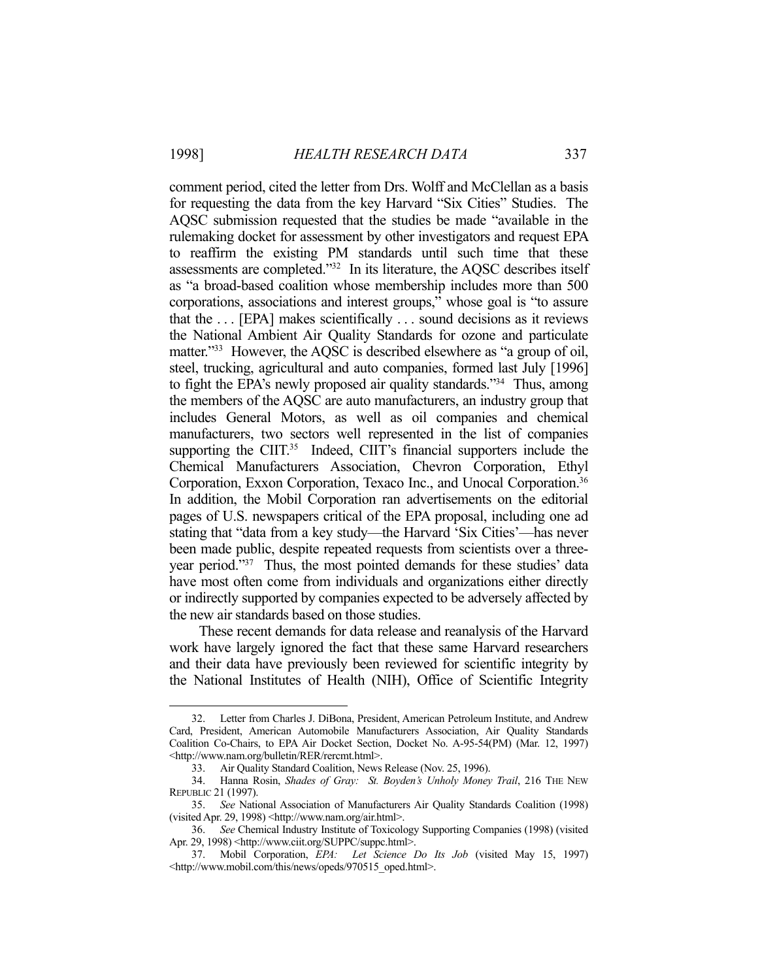<u>.</u>

comment period, cited the letter from Drs. Wolff and McClellan as a basis for requesting the data from the key Harvard "Six Cities" Studies. The AQSC submission requested that the studies be made "available in the rulemaking docket for assessment by other investigators and request EPA to reaffirm the existing PM standards until such time that these assessments are completed."32 In its literature, the AQSC describes itself as "a broad-based coalition whose membership includes more than 500 corporations, associations and interest groups," whose goal is "to assure that the . . . [EPA] makes scientifically . . . sound decisions as it reviews the National Ambient Air Quality Standards for ozone and particulate matter."<sup>33</sup> However, the AQSC is described elsewhere as "a group of oil, steel, trucking, agricultural and auto companies, formed last July [1996] to fight the EPA's newly proposed air quality standards."34 Thus, among the members of the AQSC are auto manufacturers, an industry group that includes General Motors, as well as oil companies and chemical manufacturers, two sectors well represented in the list of companies supporting the CIIT.<sup>35</sup> Indeed, CIIT's financial supporters include the Chemical Manufacturers Association, Chevron Corporation, Ethyl Corporation, Exxon Corporation, Texaco Inc., and Unocal Corporation.<sup>36</sup> In addition, the Mobil Corporation ran advertisements on the editorial pages of U.S. newspapers critical of the EPA proposal, including one ad stating that "data from a key study—the Harvard 'Six Cities'—has never been made public, despite repeated requests from scientists over a threeyear period."37 Thus, the most pointed demands for these studies' data have most often come from individuals and organizations either directly or indirectly supported by companies expected to be adversely affected by the new air standards based on those studies.

 These recent demands for data release and reanalysis of the Harvard work have largely ignored the fact that these same Harvard researchers and their data have previously been reviewed for scientific integrity by the National Institutes of Health (NIH), Office of Scientific Integrity

 <sup>32.</sup> Letter from Charles J. DiBona, President, American Petroleum Institute, and Andrew Card, President, American Automobile Manufacturers Association, Air Quality Standards Coalition Co-Chairs, to EPA Air Docket Section, Docket No. A-95-54(PM) (Mar. 12, 1997) <http://www.nam.org/bulletin/RER/rercmt.html>.

 <sup>33.</sup> Air Quality Standard Coalition, News Release (Nov. 25, 1996).

<sup>34.</sup> Hanna Rosin, *Shades of Gray: St. Boyden's Unholy Money Trail*, 216 THE NEW REPUBLIC 21 (1997).

 <sup>35.</sup> *See* National Association of Manufacturers Air Quality Standards Coalition (1998) (visited Apr. 29, 1998) <http://www.nam.org/air.html>.

 <sup>36.</sup> *See* Chemical Industry Institute of Toxicology Supporting Companies (1998) (visited Apr. 29, 1998) <http://www.ciit.org/SUPPC/suppc.html>.

 <sup>37.</sup> Mobil Corporation, *EPA: Let Science Do Its Job* (visited May 15, 1997) <http://www.mobil.com/this/news/opeds/970515\_oped.html>.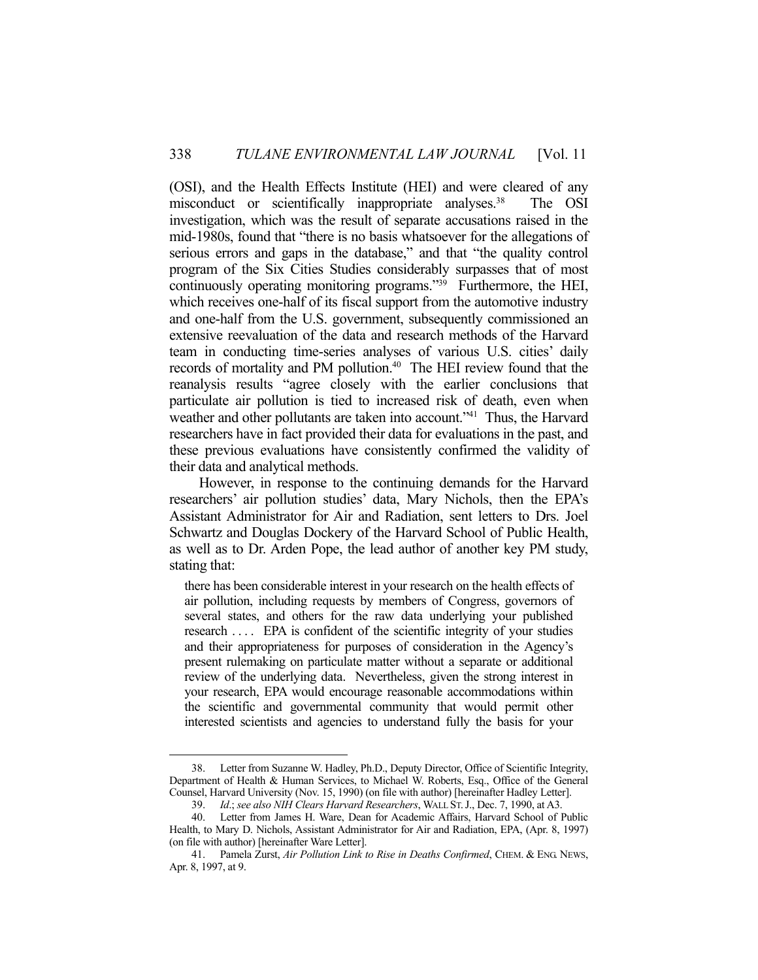(OSI), and the Health Effects Institute (HEI) and were cleared of any misconduct or scientifically inappropriate analyses.<sup>38</sup> The OSI investigation, which was the result of separate accusations raised in the mid-1980s, found that "there is no basis whatsoever for the allegations of serious errors and gaps in the database," and that "the quality control program of the Six Cities Studies considerably surpasses that of most continuously operating monitoring programs."<sup>39</sup> Furthermore, the HEI, which receives one-half of its fiscal support from the automotive industry and one-half from the U.S. government, subsequently commissioned an extensive reevaluation of the data and research methods of the Harvard team in conducting time-series analyses of various U.S. cities' daily records of mortality and PM pollution.<sup>40</sup> The HEI review found that the reanalysis results "agree closely with the earlier conclusions that particulate air pollution is tied to increased risk of death, even when weather and other pollutants are taken into account."<sup>41</sup> Thus, the Harvard researchers have in fact provided their data for evaluations in the past, and these previous evaluations have consistently confirmed the validity of their data and analytical methods.

 However, in response to the continuing demands for the Harvard researchers' air pollution studies' data, Mary Nichols, then the EPA's Assistant Administrator for Air and Radiation, sent letters to Drs. Joel Schwartz and Douglas Dockery of the Harvard School of Public Health, as well as to Dr. Arden Pope, the lead author of another key PM study, stating that:

there has been considerable interest in your research on the health effects of air pollution, including requests by members of Congress, governors of several states, and others for the raw data underlying your published research .... EPA is confident of the scientific integrity of your studies and their appropriateness for purposes of consideration in the Agency's present rulemaking on particulate matter without a separate or additional review of the underlying data. Nevertheless, given the strong interest in your research, EPA would encourage reasonable accommodations within the scientific and governmental community that would permit other interested scientists and agencies to understand fully the basis for your

 <sup>38.</sup> Letter from Suzanne W. Hadley, Ph.D., Deputy Director, Office of Scientific Integrity, Department of Health & Human Services, to Michael W. Roberts, Esq., Office of the General Counsel, Harvard University (Nov. 15, 1990) (on file with author) [hereinafter Hadley Letter].

 <sup>39.</sup> *Id*.; *see also NIH Clears Harvard Researchers*, WALL ST.J., Dec. 7, 1990, at A3.

 <sup>40.</sup> Letter from James H. Ware, Dean for Academic Affairs, Harvard School of Public Health, to Mary D. Nichols, Assistant Administrator for Air and Radiation, EPA, (Apr. 8, 1997) (on file with author) [hereinafter Ware Letter].

 <sup>41.</sup> Pamela Zurst, *Air Pollution Link to Rise in Deaths Confirmed*, CHEM. & ENG. NEWS, Apr. 8, 1997, at 9.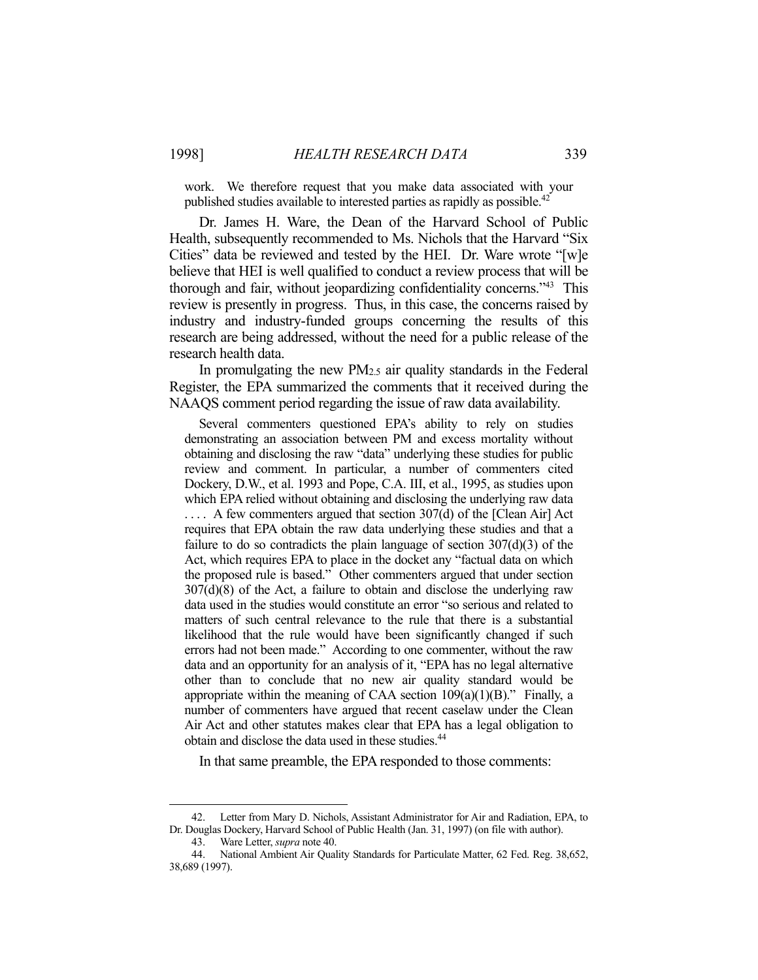work. We therefore request that you make data associated with your published studies available to interested parties as rapidly as possible.<sup>42</sup>

 Dr. James H. Ware, the Dean of the Harvard School of Public Health, subsequently recommended to Ms. Nichols that the Harvard "Six Cities" data be reviewed and tested by the HEI. Dr. Ware wrote "[w]e believe that HEI is well qualified to conduct a review process that will be thorough and fair, without jeopardizing confidentiality concerns."43 This review is presently in progress. Thus, in this case, the concerns raised by industry and industry-funded groups concerning the results of this research are being addressed, without the need for a public release of the research health data.

 In promulgating the new PM2.5 air quality standards in the Federal Register, the EPA summarized the comments that it received during the NAAQS comment period regarding the issue of raw data availability.

 Several commenters questioned EPA's ability to rely on studies demonstrating an association between PM and excess mortality without obtaining and disclosing the raw "data" underlying these studies for public review and comment. In particular, a number of commenters cited Dockery, D.W., et al. 1993 and Pope, C.A. III, et al., 1995, as studies upon which EPA relied without obtaining and disclosing the underlying raw data .... A few commenters argued that section 307(d) of the [Clean Air] Act requires that EPA obtain the raw data underlying these studies and that a failure to do so contradicts the plain language of section  $307(d)(3)$  of the Act, which requires EPA to place in the docket any "factual data on which the proposed rule is based." Other commenters argued that under section 307(d)(8) of the Act, a failure to obtain and disclose the underlying raw data used in the studies would constitute an error "so serious and related to matters of such central relevance to the rule that there is a substantial likelihood that the rule would have been significantly changed if such errors had not been made." According to one commenter, without the raw data and an opportunity for an analysis of it, "EPA has no legal alternative other than to conclude that no new air quality standard would be appropriate within the meaning of CAA section  $109(a)(1)(B)$ ." Finally, a number of commenters have argued that recent caselaw under the Clean Air Act and other statutes makes clear that EPA has a legal obligation to obtain and disclose the data used in these studies.<sup>44</sup>

In that same preamble, the EPA responded to those comments:

 <sup>42.</sup> Letter from Mary D. Nichols, Assistant Administrator for Air and Radiation, EPA, to Dr. Douglas Dockery, Harvard School of Public Health (Jan. 31, 1997) (on file with author).

 <sup>43.</sup> Ware Letter, *supra* note 40.

 <sup>44.</sup> National Ambient Air Quality Standards for Particulate Matter, 62 Fed. Reg. 38,652, 38,689 (1997).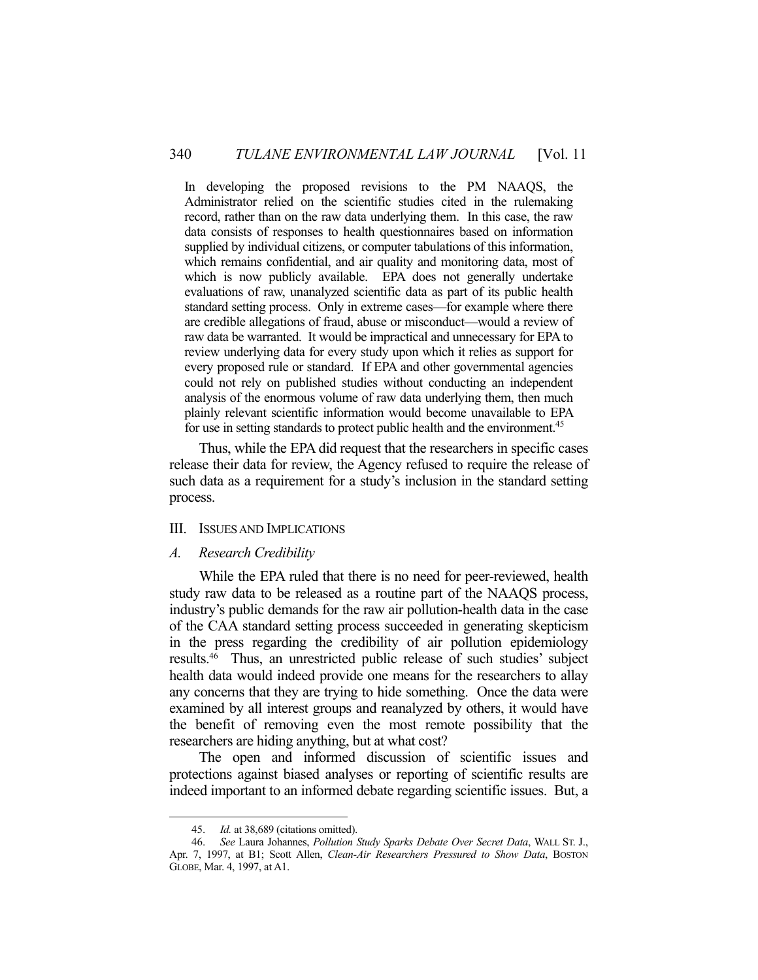In developing the proposed revisions to the PM NAAQS, the Administrator relied on the scientific studies cited in the rulemaking record, rather than on the raw data underlying them. In this case, the raw data consists of responses to health questionnaires based on information supplied by individual citizens, or computer tabulations of this information, which remains confidential, and air quality and monitoring data, most of which is now publicly available. EPA does not generally undertake evaluations of raw, unanalyzed scientific data as part of its public health standard setting process. Only in extreme cases—for example where there are credible allegations of fraud, abuse or misconduct—would a review of raw data be warranted. It would be impractical and unnecessary for EPA to review underlying data for every study upon which it relies as support for every proposed rule or standard. If EPA and other governmental agencies could not rely on published studies without conducting an independent analysis of the enormous volume of raw data underlying them, then much plainly relevant scientific information would become unavailable to EPA for use in setting standards to protect public health and the environment.<sup>45</sup>

 Thus, while the EPA did request that the researchers in specific cases release their data for review, the Agency refused to require the release of such data as a requirement for a study's inclusion in the standard setting process.

#### III. ISSUES AND IMPLICATIONS

#### *A. Research Credibility*

 While the EPA ruled that there is no need for peer-reviewed, health study raw data to be released as a routine part of the NAAQS process, industry's public demands for the raw air pollution-health data in the case of the CAA standard setting process succeeded in generating skepticism in the press regarding the credibility of air pollution epidemiology results.46 Thus, an unrestricted public release of such studies' subject health data would indeed provide one means for the researchers to allay any concerns that they are trying to hide something. Once the data were examined by all interest groups and reanalyzed by others, it would have the benefit of removing even the most remote possibility that the researchers are hiding anything, but at what cost?

 The open and informed discussion of scientific issues and protections against biased analyses or reporting of scientific results are indeed important to an informed debate regarding scientific issues. But, a

 <sup>45.</sup> *Id.* at 38,689 (citations omitted).

 <sup>46.</sup> *See* Laura Johannes, *Pollution Study Sparks Debate Over Secret Data*, WALL ST. J., Apr. 7, 1997, at B1; Scott Allen, *Clean-Air Researchers Pressured to Show Data*, BOSTON GLOBE, Mar. 4, 1997, at A1.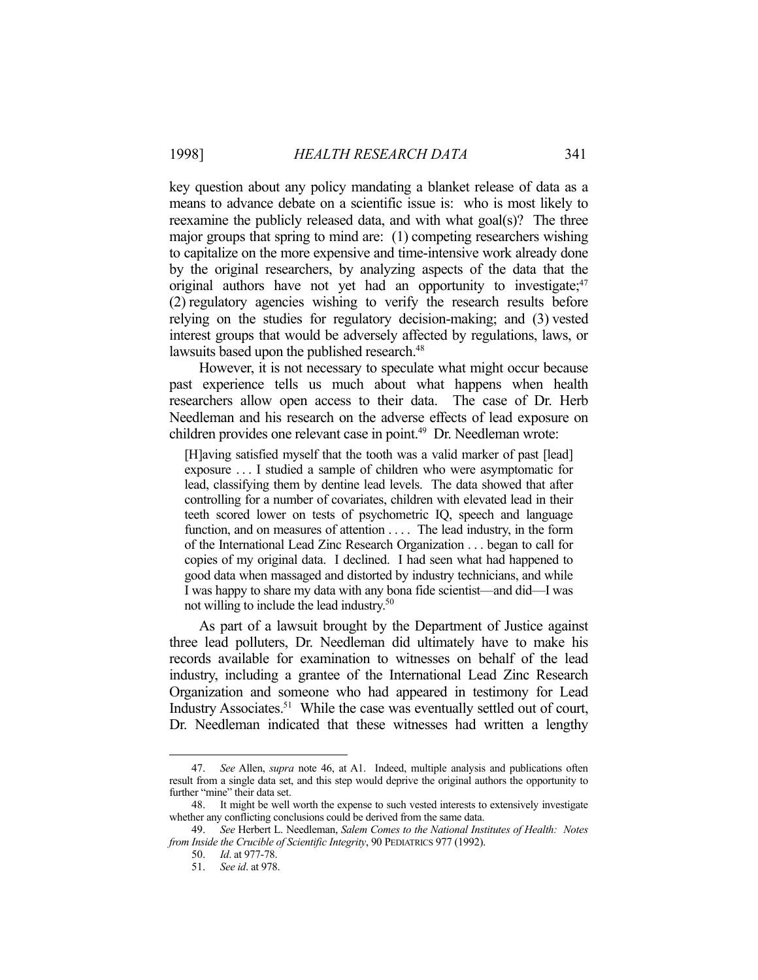key question about any policy mandating a blanket release of data as a means to advance debate on a scientific issue is: who is most likely to reexamine the publicly released data, and with what goal(s)? The three major groups that spring to mind are: (1) competing researchers wishing to capitalize on the more expensive and time-intensive work already done by the original researchers, by analyzing aspects of the data that the original authors have not yet had an opportunity to investigate;<sup>47</sup> (2) regulatory agencies wishing to verify the research results before relying on the studies for regulatory decision-making; and (3) vested interest groups that would be adversely affected by regulations, laws, or lawsuits based upon the published research.<sup>48</sup>

 However, it is not necessary to speculate what might occur because past experience tells us much about what happens when health researchers allow open access to their data. The case of Dr. Herb Needleman and his research on the adverse effects of lead exposure on children provides one relevant case in point.<sup>49</sup> Dr. Needleman wrote:

[H]aving satisfied myself that the tooth was a valid marker of past [lead] exposure . . . I studied a sample of children who were asymptomatic for lead, classifying them by dentine lead levels. The data showed that after controlling for a number of covariates, children with elevated lead in their teeth scored lower on tests of psychometric IQ, speech and language function, and on measures of attention . . . . The lead industry, in the form of the International Lead Zinc Research Organization . . . began to call for copies of my original data. I declined. I had seen what had happened to good data when massaged and distorted by industry technicians, and while I was happy to share my data with any bona fide scientist—and did—I was not willing to include the lead industry.<sup>50</sup>

 As part of a lawsuit brought by the Department of Justice against three lead polluters, Dr. Needleman did ultimately have to make his records available for examination to witnesses on behalf of the lead industry, including a grantee of the International Lead Zinc Research Organization and someone who had appeared in testimony for Lead Industry Associates.<sup>51</sup> While the case was eventually settled out of court, Dr. Needleman indicated that these witnesses had written a lengthy

 <sup>47.</sup> *See* Allen, *supra* note 46, at A1. Indeed, multiple analysis and publications often result from a single data set, and this step would deprive the original authors the opportunity to further "mine" their data set.

 <sup>48.</sup> It might be well worth the expense to such vested interests to extensively investigate whether any conflicting conclusions could be derived from the same data.

 <sup>49.</sup> *See* Herbert L. Needleman, *Salem Comes to the National Institutes of Health: Notes from Inside the Crucible of Scientific Integrity*, 90 PEDIATRICS 977 (1992).

 <sup>50.</sup> *Id*. at 977-78.

 <sup>51.</sup> *See id*. at 978.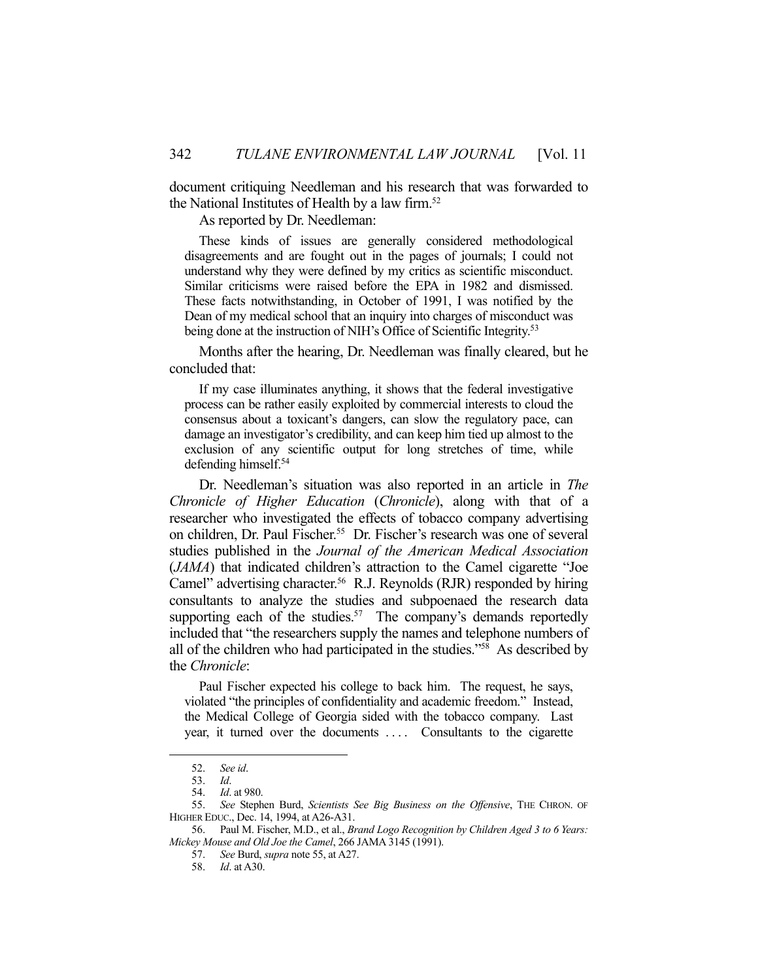document critiquing Needleman and his research that was forwarded to the National Institutes of Health by a law firm.<sup>52</sup>

As reported by Dr. Needleman:

 These kinds of issues are generally considered methodological disagreements and are fought out in the pages of journals; I could not understand why they were defined by my critics as scientific misconduct. Similar criticisms were raised before the EPA in 1982 and dismissed. These facts notwithstanding, in October of 1991, I was notified by the Dean of my medical school that an inquiry into charges of misconduct was being done at the instruction of NIH's Office of Scientific Integrity.<sup>53</sup>

 Months after the hearing, Dr. Needleman was finally cleared, but he concluded that:

 If my case illuminates anything, it shows that the federal investigative process can be rather easily exploited by commercial interests to cloud the consensus about a toxicant's dangers, can slow the regulatory pace, can damage an investigator's credibility, and can keep him tied up almost to the exclusion of any scientific output for long stretches of time, while defending himself.54

 Dr. Needleman's situation was also reported in an article in *The Chronicle of Higher Education* (*Chronicle*), along with that of a researcher who investigated the effects of tobacco company advertising on children, Dr. Paul Fischer.<sup>55</sup> Dr. Fischer's research was one of several studies published in the *Journal of the American Medical Association*  (*JAMA*) that indicated children's attraction to the Camel cigarette "Joe Camel" advertising character.<sup>56</sup> R.J. Reynolds (RJR) responded by hiring consultants to analyze the studies and subpoenaed the research data supporting each of the studies.<sup>57</sup> The company's demands reportedly included that "the researchers supply the names and telephone numbers of all of the children who had participated in the studies."58 As described by the *Chronicle*:

 Paul Fischer expected his college to back him. The request, he says, violated "the principles of confidentiality and academic freedom." Instead, the Medical College of Georgia sided with the tobacco company. Last year, it turned over the documents .... Consultants to the cigarette

 <sup>52.</sup> *See id*.

 <sup>53.</sup> *Id*.

 <sup>54.</sup> *Id*. at 980.

 <sup>55.</sup> *See* Stephen Burd, *Scientists See Big Business on the Offensive*, THE CHRON. OF HIGHER EDUC., Dec. 14, 1994, at A26-A31.

 <sup>56.</sup> Paul M. Fischer, M.D., et al., *Brand Logo Recognition by Children Aged 3 to 6 Years: Mickey Mouse and Old Joe the Camel*, 266 JAMA 3145 (1991).

 <sup>57.</sup> *See* Burd, *supra* note 55, at A27.

 <sup>58.</sup> *Id*. at A30.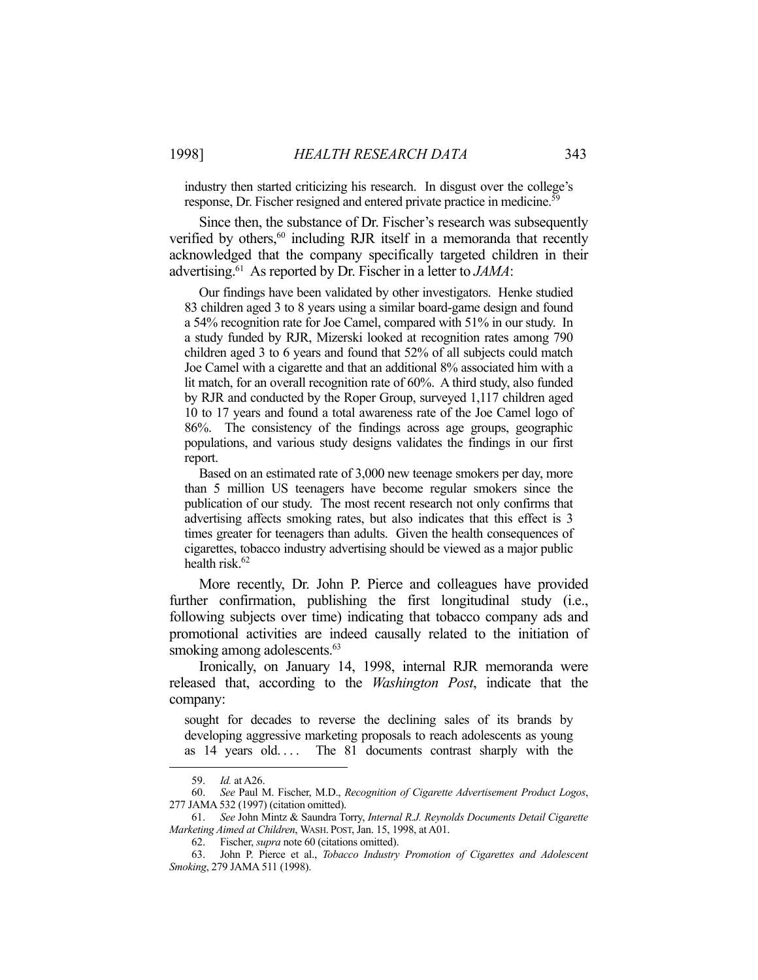industry then started criticizing his research. In disgust over the college's response, Dr. Fischer resigned and entered private practice in medicine.<sup>59</sup>

 Since then, the substance of Dr. Fischer's research was subsequently verified by others, $60$  including RJR itself in a memoranda that recently acknowledged that the company specifically targeted children in their advertising.61 As reported by Dr. Fischer in a letter to *JAMA*:

 Our findings have been validated by other investigators. Henke studied 83 children aged 3 to 8 years using a similar board-game design and found a 54% recognition rate for Joe Camel, compared with 51% in our study. In a study funded by RJR, Mizerski looked at recognition rates among 790 children aged 3 to 6 years and found that 52% of all subjects could match Joe Camel with a cigarette and that an additional 8% associated him with a lit match, for an overall recognition rate of 60%. A third study, also funded by RJR and conducted by the Roper Group, surveyed 1,117 children aged 10 to 17 years and found a total awareness rate of the Joe Camel logo of 86%. The consistency of the findings across age groups, geographic populations, and various study designs validates the findings in our first report.

 Based on an estimated rate of 3,000 new teenage smokers per day, more than 5 million US teenagers have become regular smokers since the publication of our study. The most recent research not only confirms that advertising affects smoking rates, but also indicates that this effect is 3 times greater for teenagers than adults. Given the health consequences of cigarettes, tobacco industry advertising should be viewed as a major public health risk. $62$ 

 More recently, Dr. John P. Pierce and colleagues have provided further confirmation, publishing the first longitudinal study (i.e., following subjects over time) indicating that tobacco company ads and promotional activities are indeed causally related to the initiation of smoking among adolescents.<sup>63</sup>

 Ironically, on January 14, 1998, internal RJR memoranda were released that, according to the *Washington Post*, indicate that the company:

sought for decades to reverse the declining sales of its brands by developing aggressive marketing proposals to reach adolescents as young as 14 years old.... The 81 documents contrast sharply with the

 <sup>59.</sup> *Id.* at A26.

 <sup>60.</sup> *See* Paul M. Fischer, M.D., *Recognition of Cigarette Advertisement Product Logos*, 277 JAMA 532 (1997) (citation omitted).

 <sup>61.</sup> *See* John Mintz & Saundra Torry, *Internal R.J. Reynolds Documents Detail Cigarette Marketing Aimed at Children*, WASH. POST, Jan. 15, 1998, at A01.

 <sup>62.</sup> Fischer, *supra* note 60 (citations omitted).

 <sup>63.</sup> John P. Pierce et al., *Tobacco Industry Promotion of Cigarettes and Adolescent Smoking*, 279 JAMA 511 (1998).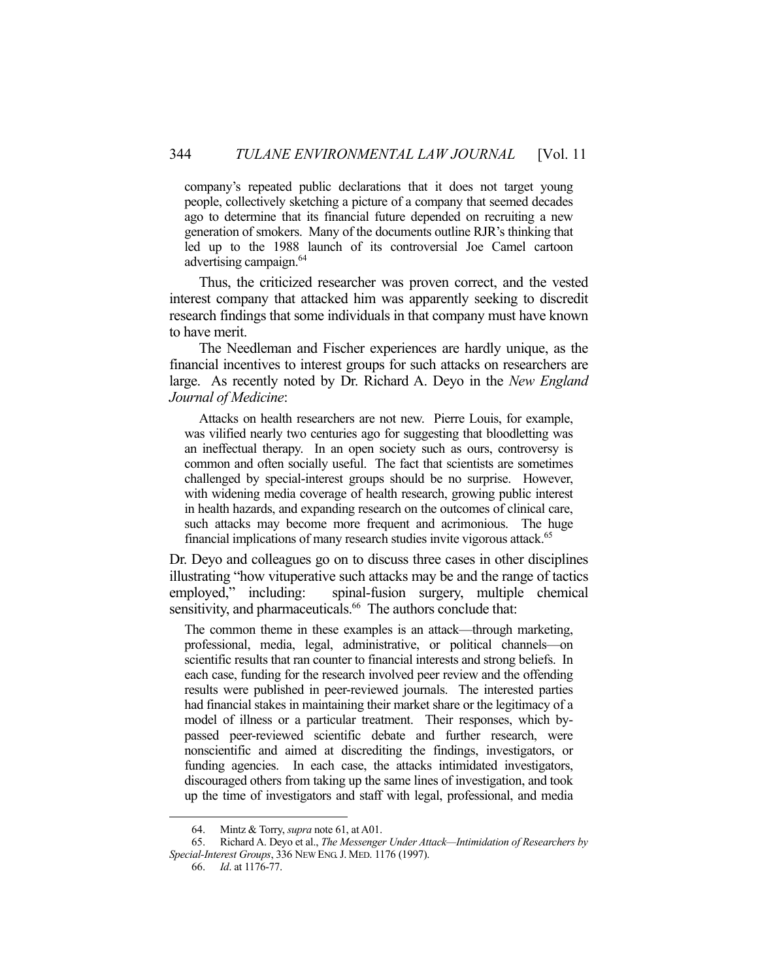company's repeated public declarations that it does not target young people, collectively sketching a picture of a company that seemed decades ago to determine that its financial future depended on recruiting a new generation of smokers. Many of the documents outline RJR's thinking that led up to the 1988 launch of its controversial Joe Camel cartoon advertising campaign.<sup>64</sup>

 Thus, the criticized researcher was proven correct, and the vested interest company that attacked him was apparently seeking to discredit research findings that some individuals in that company must have known to have merit.

 The Needleman and Fischer experiences are hardly unique, as the financial incentives to interest groups for such attacks on researchers are large. As recently noted by Dr. Richard A. Deyo in the *New England Journal of Medicine*:

 Attacks on health researchers are not new. Pierre Louis, for example, was vilified nearly two centuries ago for suggesting that bloodletting was an ineffectual therapy. In an open society such as ours, controversy is common and often socially useful. The fact that scientists are sometimes challenged by special-interest groups should be no surprise. However, with widening media coverage of health research, growing public interest in health hazards, and expanding research on the outcomes of clinical care, such attacks may become more frequent and acrimonious. The huge financial implications of many research studies invite vigorous attack.<sup>65</sup>

Dr. Deyo and colleagues go on to discuss three cases in other disciplines illustrating "how vituperative such attacks may be and the range of tactics employed," including: spinal-fusion surgery, multiple chemical sensitivity, and pharmaceuticals.<sup>66</sup> The authors conclude that:

The common theme in these examples is an attack—through marketing, professional, media, legal, administrative, or political channels—on scientific results that ran counter to financial interests and strong beliefs. In each case, funding for the research involved peer review and the offending results were published in peer-reviewed journals. The interested parties had financial stakes in maintaining their market share or the legitimacy of a model of illness or a particular treatment. Their responses, which bypassed peer-reviewed scientific debate and further research, were nonscientific and aimed at discrediting the findings, investigators, or funding agencies. In each case, the attacks intimidated investigators, discouraged others from taking up the same lines of investigation, and took up the time of investigators and staff with legal, professional, and media

 <sup>64.</sup> Mintz & Torry, *supra* note 61, at A01.

 <sup>65.</sup> Richard A. Deyo et al., *The Messenger Under Attack—Intimidation of Researchers by Special-Interest Groups*, 336 NEW ENG.J. MED. 1176 (1997).

 <sup>66.</sup> *Id*. at 1176-77.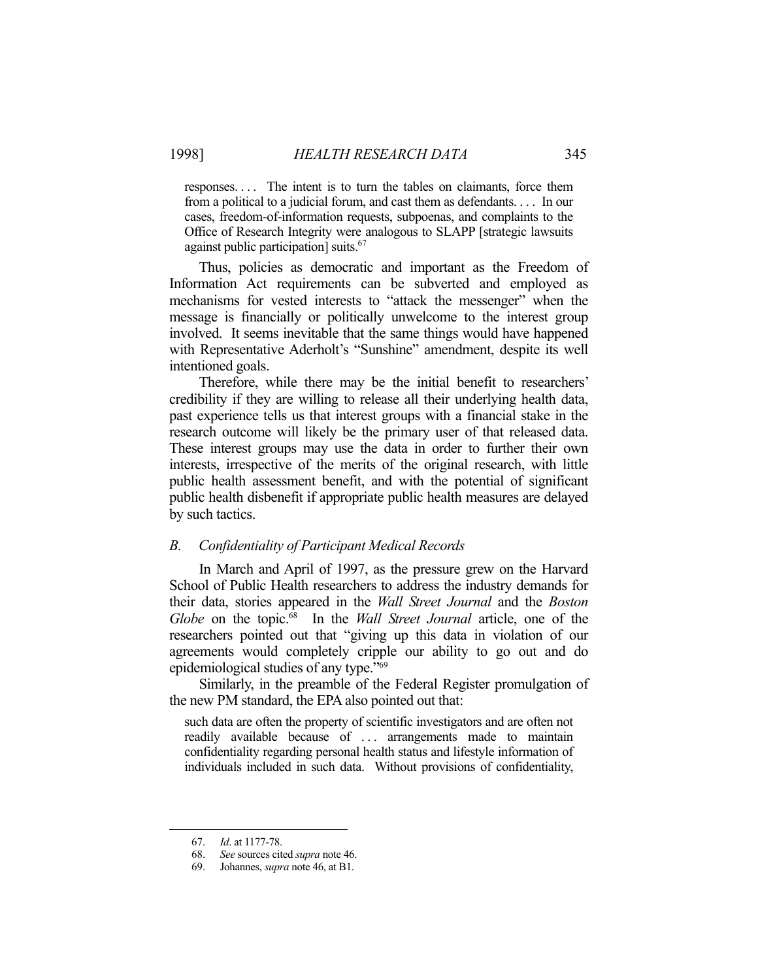responses. . . . The intent is to turn the tables on claimants, force them from a political to a judicial forum, and cast them as defendants. . . . In our cases, freedom-of-information requests, subpoenas, and complaints to the Office of Research Integrity were analogous to SLAPP [strategic lawsuits against public participation] suits.67

 Thus, policies as democratic and important as the Freedom of Information Act requirements can be subverted and employed as mechanisms for vested interests to "attack the messenger" when the message is financially or politically unwelcome to the interest group involved. It seems inevitable that the same things would have happened with Representative Aderholt's "Sunshine" amendment, despite its well intentioned goals.

 Therefore, while there may be the initial benefit to researchers' credibility if they are willing to release all their underlying health data, past experience tells us that interest groups with a financial stake in the research outcome will likely be the primary user of that released data. These interest groups may use the data in order to further their own interests, irrespective of the merits of the original research, with little public health assessment benefit, and with the potential of significant public health disbenefit if appropriate public health measures are delayed by such tactics.

#### *B. Confidentiality of Participant Medical Records*

 In March and April of 1997, as the pressure grew on the Harvard School of Public Health researchers to address the industry demands for their data, stories appeared in the *Wall Street Journal* and the *Boston Globe* on the topic.68 In the *Wall Street Journal* article, one of the researchers pointed out that "giving up this data in violation of our agreements would completely cripple our ability to go out and do epidemiological studies of any type."69

 Similarly, in the preamble of the Federal Register promulgation of the new PM standard, the EPA also pointed out that:

such data are often the property of scientific investigators and are often not readily available because of ... arrangements made to maintain confidentiality regarding personal health status and lifestyle information of individuals included in such data. Without provisions of confidentiality,

 <sup>67.</sup> *Id*. at 1177-78.

 <sup>68.</sup> *See* sources cited *supra* note 46.

 <sup>69.</sup> Johannes, *supra* note 46, at B1.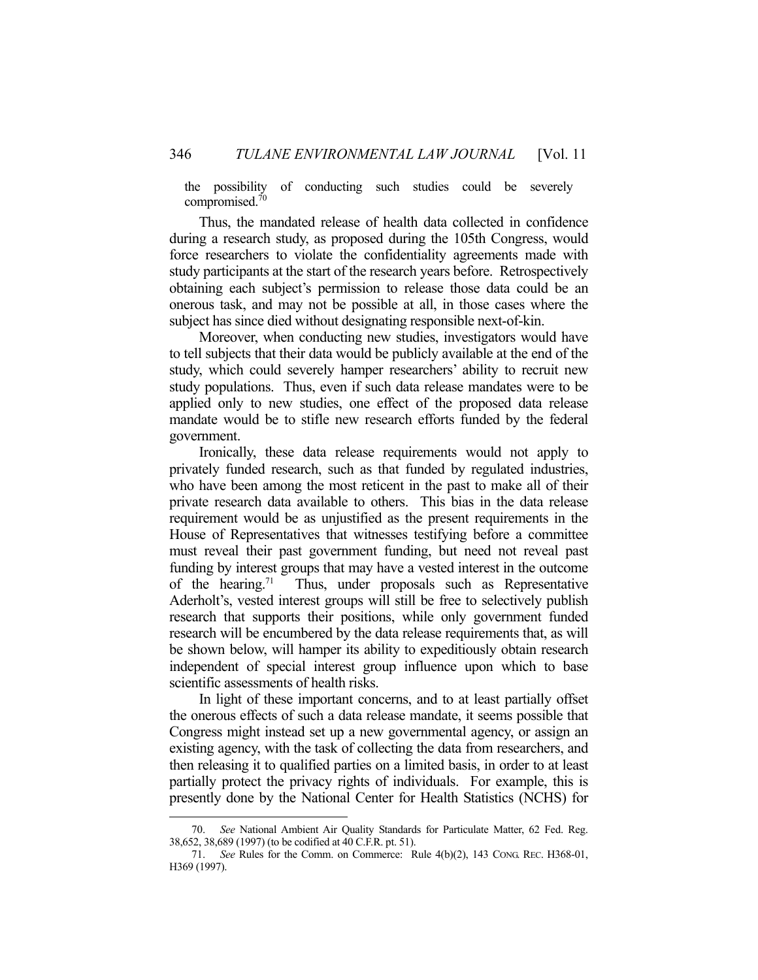the possibility of conducting such studies could be severely compromised.70

 Thus, the mandated release of health data collected in confidence during a research study, as proposed during the 105th Congress, would force researchers to violate the confidentiality agreements made with study participants at the start of the research years before. Retrospectively obtaining each subject's permission to release those data could be an onerous task, and may not be possible at all, in those cases where the subject has since died without designating responsible next-of-kin.

 Moreover, when conducting new studies, investigators would have to tell subjects that their data would be publicly available at the end of the study, which could severely hamper researchers' ability to recruit new study populations. Thus, even if such data release mandates were to be applied only to new studies, one effect of the proposed data release mandate would be to stifle new research efforts funded by the federal government.

 Ironically, these data release requirements would not apply to privately funded research, such as that funded by regulated industries, who have been among the most reticent in the past to make all of their private research data available to others. This bias in the data release requirement would be as unjustified as the present requirements in the House of Representatives that witnesses testifying before a committee must reveal their past government funding, but need not reveal past funding by interest groups that may have a vested interest in the outcome of the hearing.<sup>71</sup> Thus, under proposals such as Representative Aderholt's, vested interest groups will still be free to selectively publish research that supports their positions, while only government funded research will be encumbered by the data release requirements that, as will be shown below, will hamper its ability to expeditiously obtain research independent of special interest group influence upon which to base scientific assessments of health risks.

 In light of these important concerns, and to at least partially offset the onerous effects of such a data release mandate, it seems possible that Congress might instead set up a new governmental agency, or assign an existing agency, with the task of collecting the data from researchers, and then releasing it to qualified parties on a limited basis, in order to at least partially protect the privacy rights of individuals. For example, this is presently done by the National Center for Health Statistics (NCHS) for

See National Ambient Air Quality Standards for Particulate Matter, 62 Fed. Reg. 38,652, 38,689 (1997) (to be codified at 40 C.F.R. pt. 51).

 <sup>71.</sup> *See* Rules for the Comm. on Commerce: Rule 4(b)(2), 143 CONG. REC. H368-01, H369 (1997).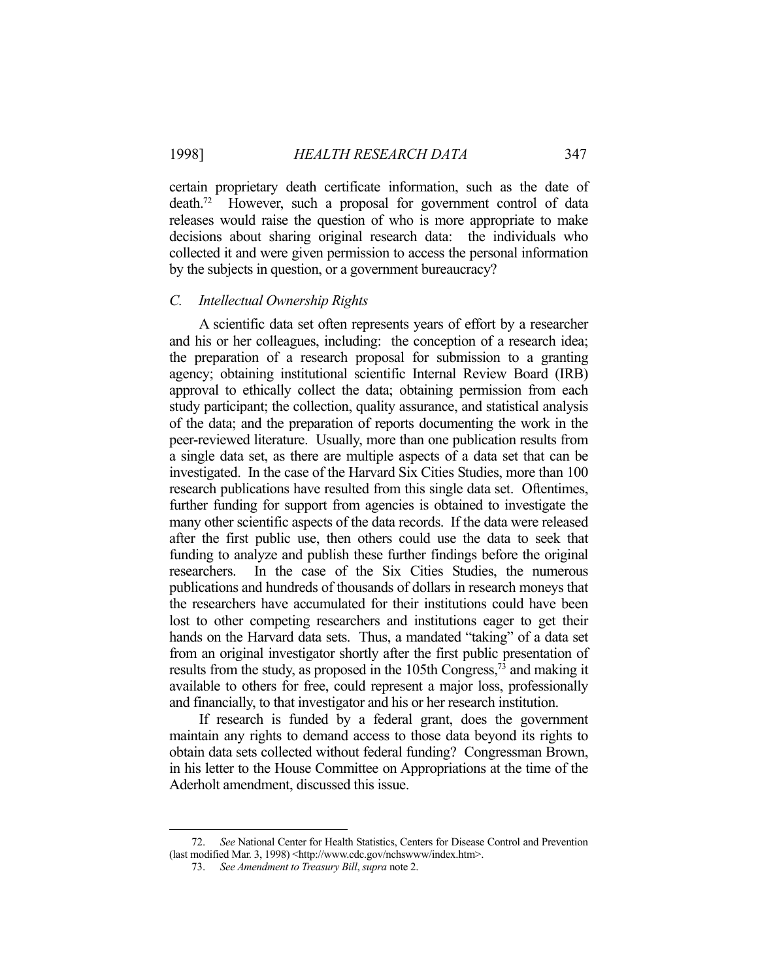certain proprietary death certificate information, such as the date of death.72 However, such a proposal for government control of data releases would raise the question of who is more appropriate to make decisions about sharing original research data: the individuals who collected it and were given permission to access the personal information by the subjects in question, or a government bureaucracy?

#### *C. Intellectual Ownership Rights*

 A scientific data set often represents years of effort by a researcher and his or her colleagues, including: the conception of a research idea; the preparation of a research proposal for submission to a granting agency; obtaining institutional scientific Internal Review Board (IRB) approval to ethically collect the data; obtaining permission from each study participant; the collection, quality assurance, and statistical analysis of the data; and the preparation of reports documenting the work in the peer-reviewed literature. Usually, more than one publication results from a single data set, as there are multiple aspects of a data set that can be investigated. In the case of the Harvard Six Cities Studies, more than 100 research publications have resulted from this single data set. Oftentimes, further funding for support from agencies is obtained to investigate the many other scientific aspects of the data records. If the data were released after the first public use, then others could use the data to seek that funding to analyze and publish these further findings before the original researchers. In the case of the Six Cities Studies, the numerous publications and hundreds of thousands of dollars in research moneys that the researchers have accumulated for their institutions could have been lost to other competing researchers and institutions eager to get their hands on the Harvard data sets. Thus, a mandated "taking" of a data set from an original investigator shortly after the first public presentation of results from the study, as proposed in the 105th Congress,<sup>73</sup> and making it available to others for free, could represent a major loss, professionally and financially, to that investigator and his or her research institution.

 If research is funded by a federal grant, does the government maintain any rights to demand access to those data beyond its rights to obtain data sets collected without federal funding? Congressman Brown, in his letter to the House Committee on Appropriations at the time of the Aderholt amendment, discussed this issue.

 <sup>72.</sup> *See* National Center for Health Statistics, Centers for Disease Control and Prevention (last modified Mar. 3, 1998) <http://www.cdc.gov/nchswww/index.htm>.

 <sup>73.</sup> *See Amendment to Treasury Bill*, *supra* note 2.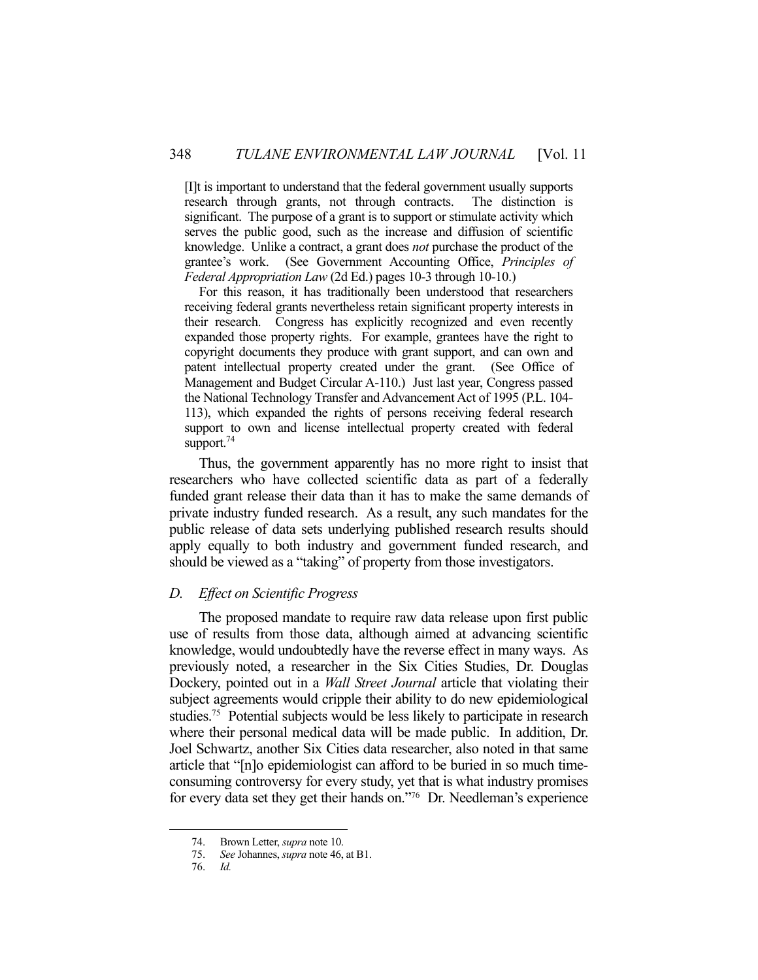[I]t is important to understand that the federal government usually supports research through grants, not through contracts. The distinction is significant. The purpose of a grant is to support or stimulate activity which serves the public good, such as the increase and diffusion of scientific knowledge. Unlike a contract, a grant does *not* purchase the product of the grantee's work. (See Government Accounting Office, *Principles of Federal Appropriation Law* (2d Ed.) pages 10-3 through 10-10.)

 For this reason, it has traditionally been understood that researchers receiving federal grants nevertheless retain significant property interests in their research. Congress has explicitly recognized and even recently expanded those property rights. For example, grantees have the right to copyright documents they produce with grant support, and can own and patent intellectual property created under the grant. (See Office of Management and Budget Circular A-110.) Just last year, Congress passed the National Technology Transfer and Advancement Act of 1995 (P.L. 104- 113), which expanded the rights of persons receiving federal research support to own and license intellectual property created with federal support.<sup>74</sup>

 Thus, the government apparently has no more right to insist that researchers who have collected scientific data as part of a federally funded grant release their data than it has to make the same demands of private industry funded research. As a result, any such mandates for the public release of data sets underlying published research results should apply equally to both industry and government funded research, and should be viewed as a "taking" of property from those investigators.

#### *D. Effect on Scientific Progress*

 The proposed mandate to require raw data release upon first public use of results from those data, although aimed at advancing scientific knowledge, would undoubtedly have the reverse effect in many ways. As previously noted, a researcher in the Six Cities Studies, Dr. Douglas Dockery, pointed out in a *Wall Street Journal* article that violating their subject agreements would cripple their ability to do new epidemiological studies.75 Potential subjects would be less likely to participate in research where their personal medical data will be made public. In addition, Dr. Joel Schwartz, another Six Cities data researcher, also noted in that same article that "[n]o epidemiologist can afford to be buried in so much timeconsuming controversy for every study, yet that is what industry promises for every data set they get their hands on."76 Dr. Needleman's experience

 <sup>74.</sup> Brown Letter, *supra* note 10.

 <sup>75.</sup> *See* Johannes, *supra* note 46, at B1.

 <sup>76.</sup> *Id.*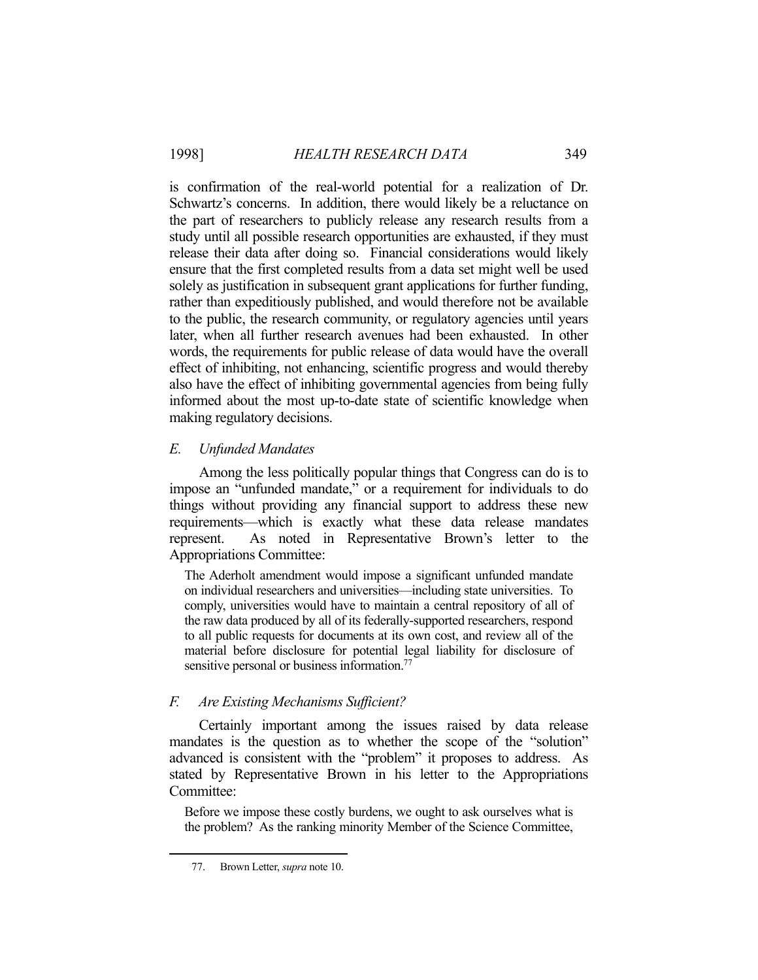is confirmation of the real-world potential for a realization of Dr. Schwartz's concerns. In addition, there would likely be a reluctance on the part of researchers to publicly release any research results from a study until all possible research opportunities are exhausted, if they must release their data after doing so. Financial considerations would likely ensure that the first completed results from a data set might well be used solely as justification in subsequent grant applications for further funding, rather than expeditiously published, and would therefore not be available to the public, the research community, or regulatory agencies until years later, when all further research avenues had been exhausted. In other words, the requirements for public release of data would have the overall effect of inhibiting, not enhancing, scientific progress and would thereby also have the effect of inhibiting governmental agencies from being fully informed about the most up-to-date state of scientific knowledge when making regulatory decisions.

# *E. Unfunded Mandates*

 Among the less politically popular things that Congress can do is to impose an "unfunded mandate," or a requirement for individuals to do things without providing any financial support to address these new requirements—which is exactly what these data release mandates represent. As noted in Representative Brown's letter to the Appropriations Committee:

The Aderholt amendment would impose a significant unfunded mandate on individual researchers and universities—including state universities. To comply, universities would have to maintain a central repository of all of the raw data produced by all of its federally-supported researchers, respond to all public requests for documents at its own cost, and review all of the material before disclosure for potential legal liability for disclosure of sensitive personal or business information.<sup>77</sup>

# *F. Are Existing Mechanisms Sufficient?*

 Certainly important among the issues raised by data release mandates is the question as to whether the scope of the "solution" advanced is consistent with the "problem" it proposes to address. As stated by Representative Brown in his letter to the Appropriations Committee:

Before we impose these costly burdens, we ought to ask ourselves what is the problem? As the ranking minority Member of the Science Committee,

 <sup>77.</sup> Brown Letter, *supra* note 10.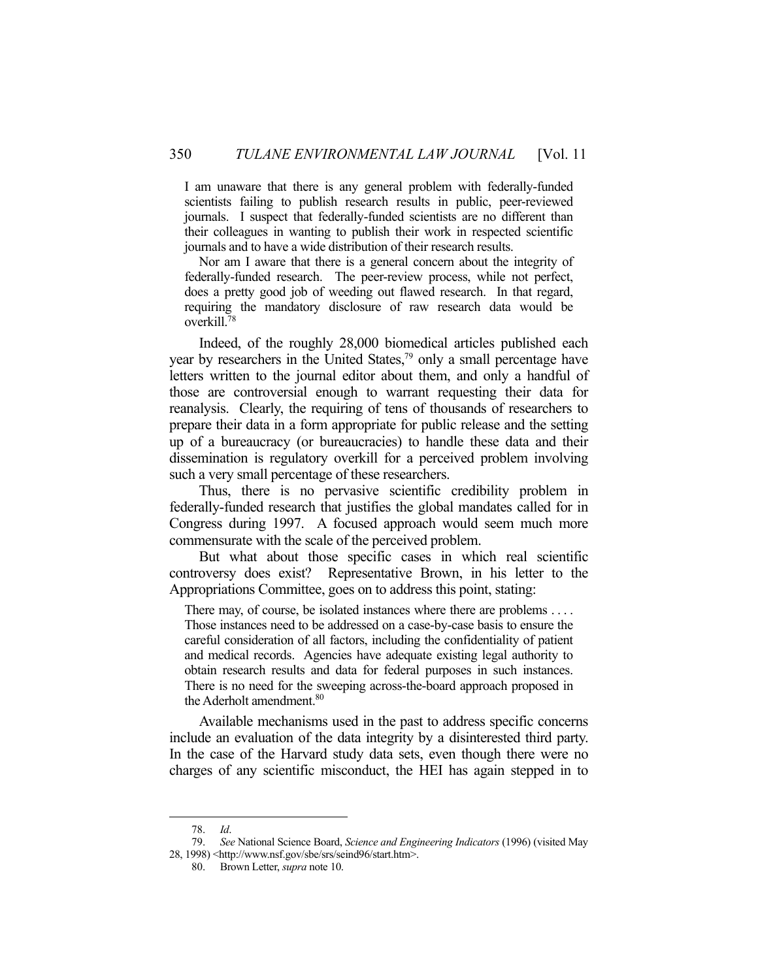I am unaware that there is any general problem with federally-funded scientists failing to publish research results in public, peer-reviewed journals. I suspect that federally-funded scientists are no different than their colleagues in wanting to publish their work in respected scientific journals and to have a wide distribution of their research results.

 Nor am I aware that there is a general concern about the integrity of federally-funded research. The peer-review process, while not perfect, does a pretty good job of weeding out flawed research. In that regard, requiring the mandatory disclosure of raw research data would be overkill.<sup>7</sup>

 Indeed, of the roughly 28,000 biomedical articles published each year by researchers in the United States,<sup>79</sup> only a small percentage have letters written to the journal editor about them, and only a handful of those are controversial enough to warrant requesting their data for reanalysis. Clearly, the requiring of tens of thousands of researchers to prepare their data in a form appropriate for public release and the setting up of a bureaucracy (or bureaucracies) to handle these data and their dissemination is regulatory overkill for a perceived problem involving such a very small percentage of these researchers.

 Thus, there is no pervasive scientific credibility problem in federally-funded research that justifies the global mandates called for in Congress during 1997. A focused approach would seem much more commensurate with the scale of the perceived problem.

 But what about those specific cases in which real scientific controversy does exist? Representative Brown, in his letter to the Appropriations Committee, goes on to address this point, stating:

There may, of course, be isolated instances where there are problems .... Those instances need to be addressed on a case-by-case basis to ensure the careful consideration of all factors, including the confidentiality of patient and medical records. Agencies have adequate existing legal authority to obtain research results and data for federal purposes in such instances. There is no need for the sweeping across-the-board approach proposed in the Aderholt amendment.<sup>80</sup>

 Available mechanisms used in the past to address specific concerns include an evaluation of the data integrity by a disinterested third party. In the case of the Harvard study data sets, even though there were no charges of any scientific misconduct, the HEI has again stepped in to

 <sup>78.</sup> *Id*.

 <sup>79.</sup> *See* National Science Board, *Science and Engineering Indicators* (1996) (visited May 28, 1998) <http://www.nsf.gov/sbe/srs/seind96/start.htm>.

 <sup>80.</sup> Brown Letter, *supra* note 10.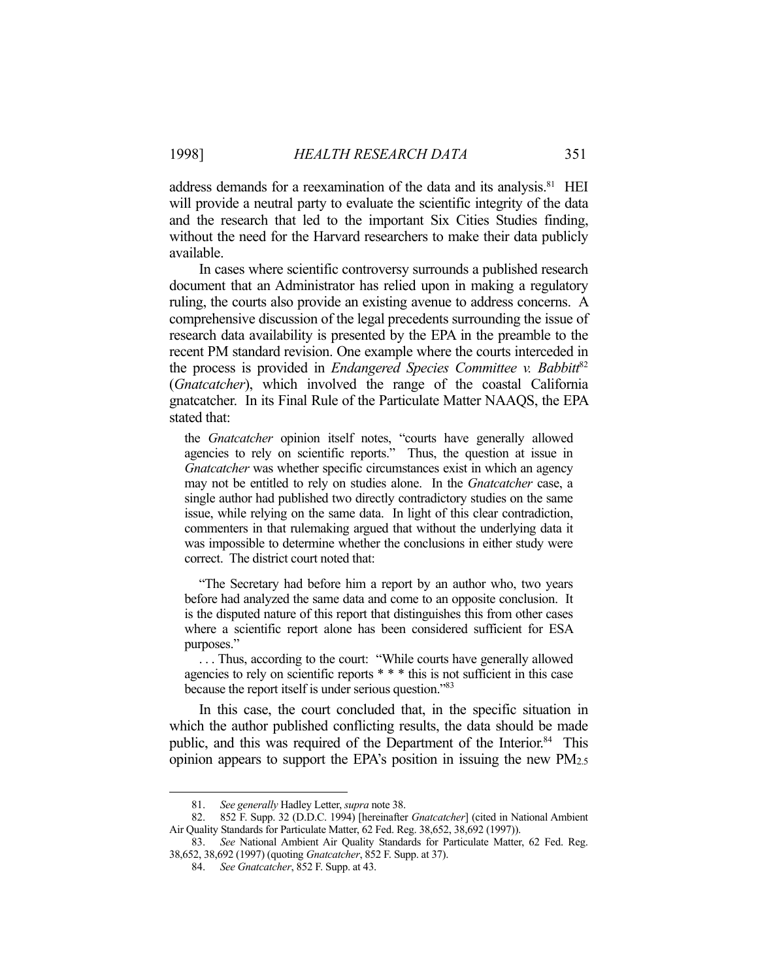address demands for a reexamination of the data and its analysis.<sup>81</sup> HEI will provide a neutral party to evaluate the scientific integrity of the data and the research that led to the important Six Cities Studies finding, without the need for the Harvard researchers to make their data publicly available.

 In cases where scientific controversy surrounds a published research document that an Administrator has relied upon in making a regulatory ruling, the courts also provide an existing avenue to address concerns. A comprehensive discussion of the legal precedents surrounding the issue of research data availability is presented by the EPA in the preamble to the recent PM standard revision. One example where the courts interceded in the process is provided in *Endangered Species Committee v. Babbitt<sup>82</sup>* (*Gnatcatcher*), which involved the range of the coastal California gnatcatcher. In its Final Rule of the Particulate Matter NAAQS, the EPA stated that:

the *Gnatcatcher* opinion itself notes, "courts have generally allowed agencies to rely on scientific reports." Thus, the question at issue in *Gnatcatcher* was whether specific circumstances exist in which an agency may not be entitled to rely on studies alone. In the *Gnatcatcher* case, a single author had published two directly contradictory studies on the same issue, while relying on the same data. In light of this clear contradiction, commenters in that rulemaking argued that without the underlying data it was impossible to determine whether the conclusions in either study were correct. The district court noted that:

 "The Secretary had before him a report by an author who, two years before had analyzed the same data and come to an opposite conclusion. It is the disputed nature of this report that distinguishes this from other cases where a scientific report alone has been considered sufficient for ESA purposes."

 . . . Thus, according to the court: "While courts have generally allowed agencies to rely on scientific reports \* \* \* this is not sufficient in this case because the report itself is under serious question."83

 In this case, the court concluded that, in the specific situation in which the author published conflicting results, the data should be made public, and this was required of the Department of the Interior.<sup>84</sup> This opinion appears to support the EPA's position in issuing the new PM2.5

 <sup>81.</sup> *See generally* Hadley Letter, *supra* note 38.

 <sup>82. 852</sup> F. Supp. 32 (D.D.C. 1994) [hereinafter *Gnatcatcher*] (cited in National Ambient Air Quality Standards for Particulate Matter, 62 Fed. Reg. 38,652, 38,692 (1997)).

 <sup>83.</sup> *See* National Ambient Air Quality Standards for Particulate Matter, 62 Fed. Reg. 38,652, 38,692 (1997) (quoting *Gnatcatcher*, 852 F. Supp. at 37).

 <sup>84.</sup> *See Gnatcatcher*, 852 F. Supp. at 43.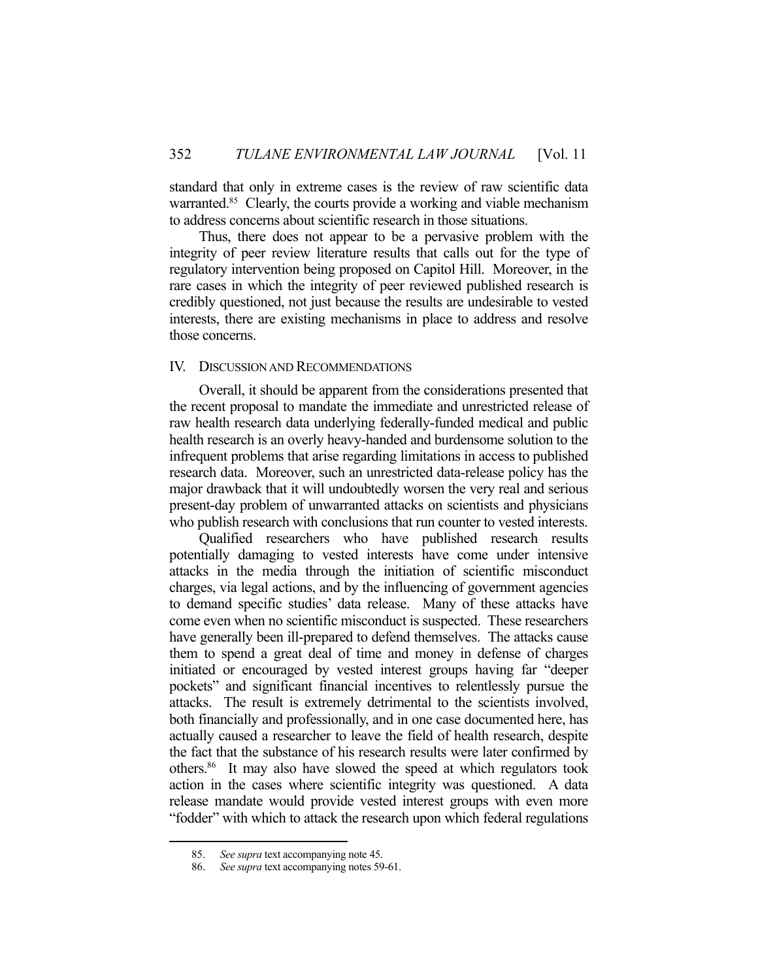standard that only in extreme cases is the review of raw scientific data warranted.<sup>85</sup> Clearly, the courts provide a working and viable mechanism to address concerns about scientific research in those situations.

 Thus, there does not appear to be a pervasive problem with the integrity of peer review literature results that calls out for the type of regulatory intervention being proposed on Capitol Hill. Moreover, in the rare cases in which the integrity of peer reviewed published research is credibly questioned, not just because the results are undesirable to vested interests, there are existing mechanisms in place to address and resolve those concerns.

# IV. DISCUSSION AND RECOMMENDATIONS

 Overall, it should be apparent from the considerations presented that the recent proposal to mandate the immediate and unrestricted release of raw health research data underlying federally-funded medical and public health research is an overly heavy-handed and burdensome solution to the infrequent problems that arise regarding limitations in access to published research data. Moreover, such an unrestricted data-release policy has the major drawback that it will undoubtedly worsen the very real and serious present-day problem of unwarranted attacks on scientists and physicians who publish research with conclusions that run counter to vested interests.

 Qualified researchers who have published research results potentially damaging to vested interests have come under intensive attacks in the media through the initiation of scientific misconduct charges, via legal actions, and by the influencing of government agencies to demand specific studies' data release. Many of these attacks have come even when no scientific misconduct is suspected. These researchers have generally been ill-prepared to defend themselves. The attacks cause them to spend a great deal of time and money in defense of charges initiated or encouraged by vested interest groups having far "deeper pockets" and significant financial incentives to relentlessly pursue the attacks. The result is extremely detrimental to the scientists involved, both financially and professionally, and in one case documented here, has actually caused a researcher to leave the field of health research, despite the fact that the substance of his research results were later confirmed by others.86 It may also have slowed the speed at which regulators took action in the cases where scientific integrity was questioned. A data release mandate would provide vested interest groups with even more "fodder" with which to attack the research upon which federal regulations

 <sup>85.</sup> *See supra* text accompanying note 45.

 <sup>86.</sup> *See supra* text accompanying notes 59-61.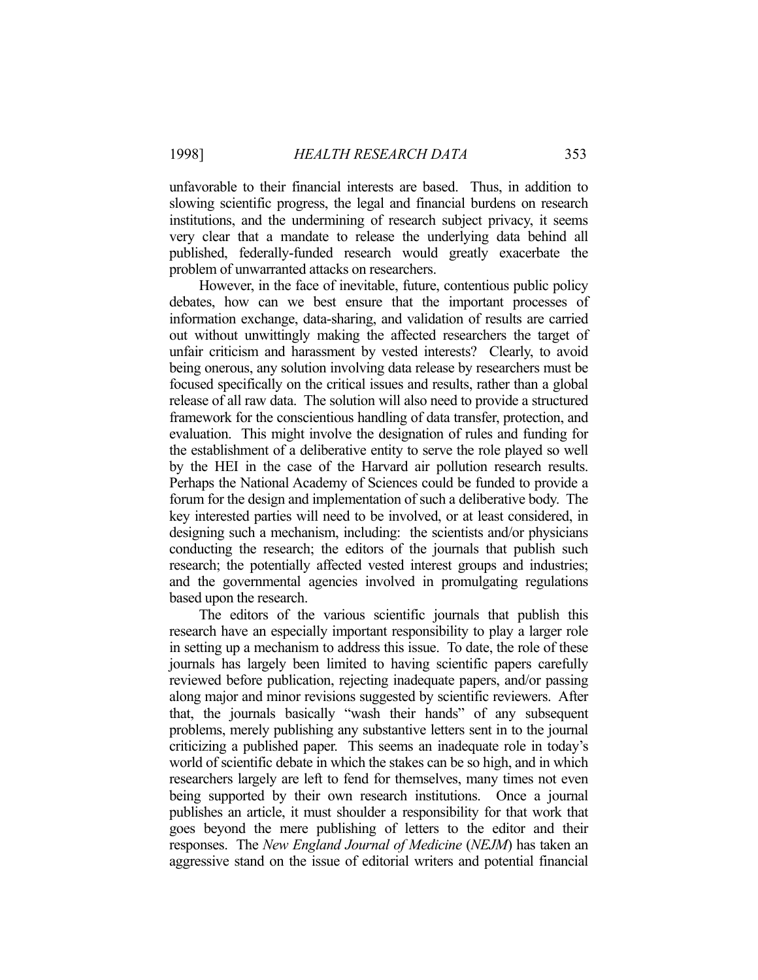unfavorable to their financial interests are based. Thus, in addition to slowing scientific progress, the legal and financial burdens on research institutions, and the undermining of research subject privacy, it seems very clear that a mandate to release the underlying data behind all published, federally-funded research would greatly exacerbate the problem of unwarranted attacks on researchers.

 However, in the face of inevitable, future, contentious public policy debates, how can we best ensure that the important processes of information exchange, data-sharing, and validation of results are carried out without unwittingly making the affected researchers the target of unfair criticism and harassment by vested interests? Clearly, to avoid being onerous, any solution involving data release by researchers must be focused specifically on the critical issues and results, rather than a global release of all raw data. The solution will also need to provide a structured framework for the conscientious handling of data transfer, protection, and evaluation. This might involve the designation of rules and funding for the establishment of a deliberative entity to serve the role played so well by the HEI in the case of the Harvard air pollution research results. Perhaps the National Academy of Sciences could be funded to provide a forum for the design and implementation of such a deliberative body. The key interested parties will need to be involved, or at least considered, in designing such a mechanism, including: the scientists and/or physicians conducting the research; the editors of the journals that publish such research; the potentially affected vested interest groups and industries; and the governmental agencies involved in promulgating regulations based upon the research.

 The editors of the various scientific journals that publish this research have an especially important responsibility to play a larger role in setting up a mechanism to address this issue. To date, the role of these journals has largely been limited to having scientific papers carefully reviewed before publication, rejecting inadequate papers, and/or passing along major and minor revisions suggested by scientific reviewers. After that, the journals basically "wash their hands" of any subsequent problems, merely publishing any substantive letters sent in to the journal criticizing a published paper. This seems an inadequate role in today's world of scientific debate in which the stakes can be so high, and in which researchers largely are left to fend for themselves, many times not even being supported by their own research institutions. Once a journal publishes an article, it must shoulder a responsibility for that work that goes beyond the mere publishing of letters to the editor and their responses. The *New England Journal of Medicine* (*NEJM*) has taken an aggressive stand on the issue of editorial writers and potential financial